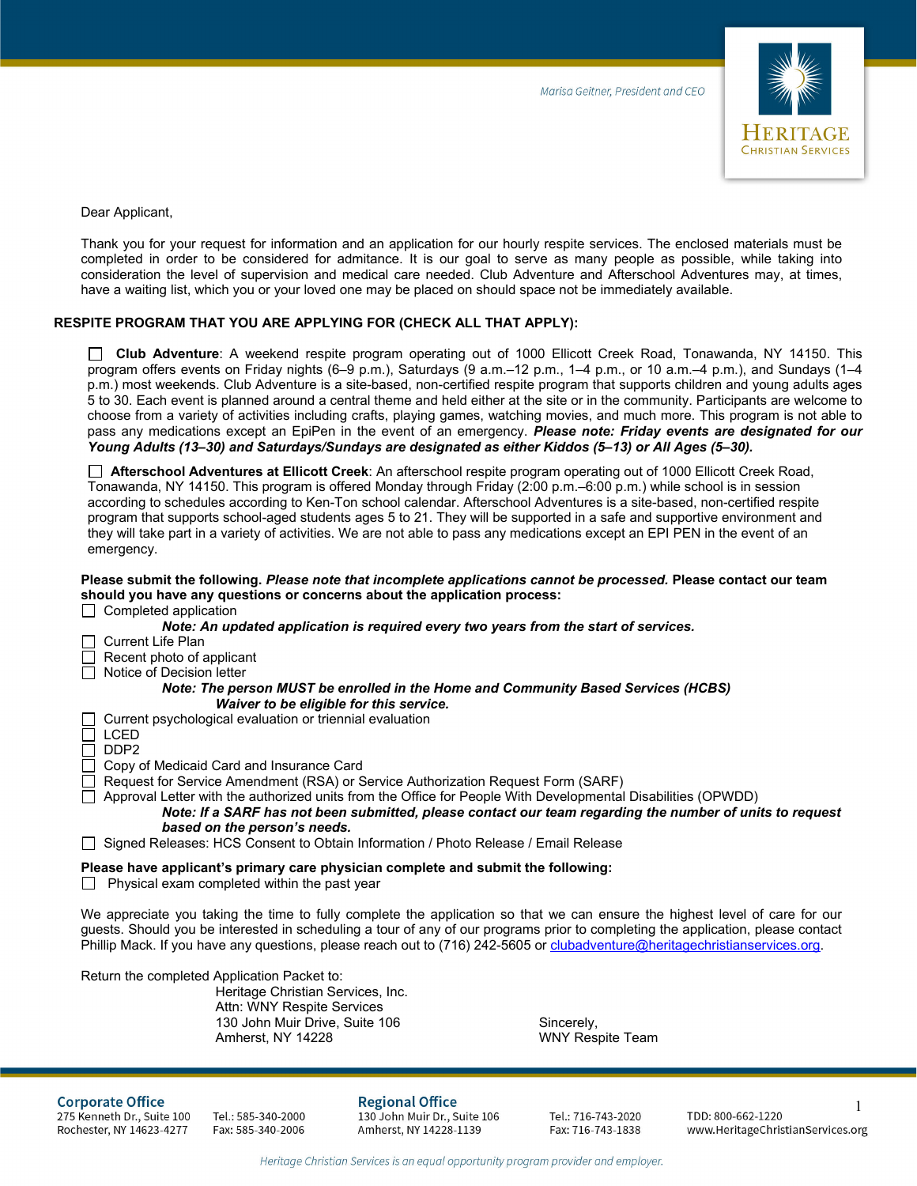

Dear Applicant,

Thank you for your request for information and an application for our hourly respite services. The enclosed materials must be completed in order to be considered for admitance. It is our goal to serve as many people as possible, while taking into consideration the level of supervision and medical care needed. Club Adventure and Afterschool Adventures may, at times, have a waiting list, which you or your loved one may be placed on should space not be immediately available.

#### **RESPITE PROGRAM THAT YOU ARE APPLYING FOR (CHECK ALL THAT APPLY):**

 **Club Adventure**: A weekend respite program operating out of 1000 Ellicott Creek Road, Tonawanda, NY 14150. This program offers events on Friday nights (6–9 p.m.), Saturdays (9 a.m.–12 p.m., 1–4 p.m., or 10 a.m.–4 p.m.), and Sundays (1–4 p.m.) most weekends. Club Adventure is a site-based, non-certified respite program that supports children and young adults ages 5 to 30. Each event is planned around a central theme and held either at the site or in the community. Participants are welcome to choose from a variety of activities including crafts, playing games, watching movies, and much more. This program is not able to pass any medications except an EpiPen in the event of an emergency. *Please note: Friday events are designated for our Young Adults (13–30) and Saturdays/Sundays are designated as either Kiddos (5–13) or All Ages (5–30).*

 **Afterschool Adventures at Ellicott Creek**: An afterschool respite program operating out of 1000 Ellicott Creek Road, Tonawanda, NY 14150. This program is offered Monday through Friday (2:00 p.m.–6:00 p.m.) while school is in session according to schedules according to Ken-Ton school calendar. Afterschool Adventures is a site-based, non-certified respite program that supports school-aged students ages 5 to 21. They will be supported in a safe and supportive environment and they will take part in a variety of activities. We are not able to pass any medications except an EPI PEN in the event of an emergency.

#### **Please submit the following.** *Please note that incomplete applications cannot be processed.* **Please contact our team should you have any questions or concerns about the application process:**

 $\Box$  Completed application

| Note: An updated application is required every two years from the start of services. |
|--------------------------------------------------------------------------------------|
| $\Box$ Current Life Plan                                                             |
| $\Box$ Recent photo of applicant                                                     |
| $\Box$ Notice of Decision letter                                                     |
| Note: The person MUST be enrolled in the Home and Community Based Services (HCBS)    |
| Waiver to be eligible for this service.                                              |
| $\Box$ Current psychological evaluation or triennial evaluation                      |

LCED

DDP2

Copy of Medicaid Card and Insurance Card

Request for Service Amendment (RSA) or Service Authorization Request Form (SARF)

Approval Letter with the authorized units from the Office for People With Developmental Disabilities (OPWDD)

*Note: If a SARF has not been submitted, please contact our team regarding the number of units to request based on the person's needs.* 

□ Signed Releases: HCS Consent to Obtain Information / Photo Release / Email Release

#### **Please have applicant's primary care physician complete and submit the following:**

 $\Box$  Physical exam completed within the past year

We appreciate you taking the time to fully complete the application so that we can ensure the highest level of care for our guests. Should you be interested in scheduling a tour of any of our programs prior to completing the application, please contact Phillip Mack. If you have any questions, please reach out to (716) 242-5605 o[r clubadventure@heritagechristianservices.org.](mailto:clubadventure@heritagechristianservices.org)

Return the completed Application Packet to:

Heritage Christian Services, Inc. Attn: WNY Respite Services 130 John Muir Drive, Suite 106 Sincerely, Amherst, NY 14228 WNY Respite Team

**Corporate Office** 

275 Kenneth Dr., Suite 100 Rochester, NY 14623-4277

Tel.: 585-340-2000 Fax: 585-340-2006 **Regional Office** 130 John Muir Dr., Suite 106 Amherst, NY 14228-1139

Tel.: 716-743-2020 Fax: 716-743-1838

1 TDD: 800-662-1220 www.HeritageChristianServices.org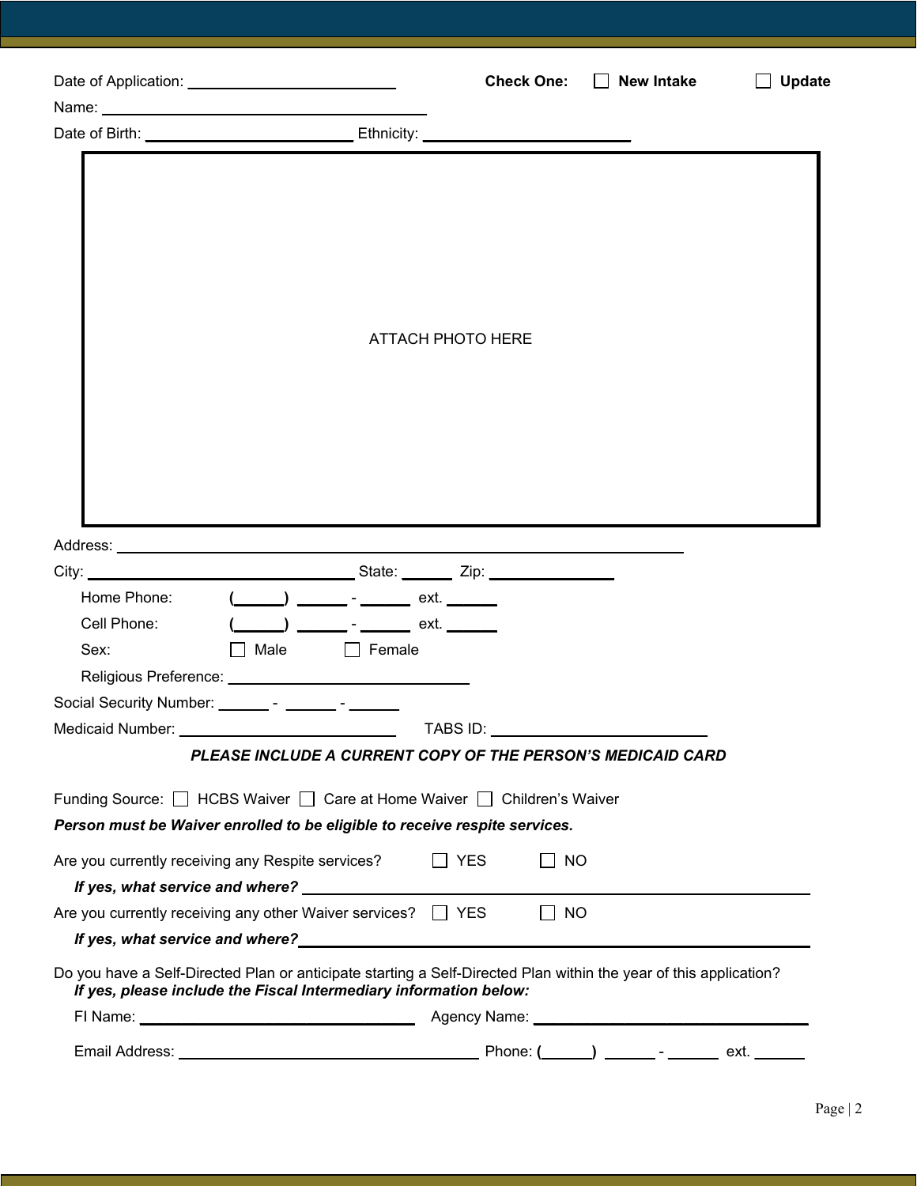| Date of Application: _______________________________                                                                                                                                                                                                                                 | <b>Check One:</b> | $\Box$ New Intake | Update |
|--------------------------------------------------------------------------------------------------------------------------------------------------------------------------------------------------------------------------------------------------------------------------------------|-------------------|-------------------|--------|
|                                                                                                                                                                                                                                                                                      |                   |                   |        |
|                                                                                                                                                                                                                                                                                      |                   |                   |        |
|                                                                                                                                                                                                                                                                                      | ATTACH PHOTO HERE |                   |        |
|                                                                                                                                                                                                                                                                                      |                   |                   |        |
| Home Phone:<br>$(\_\_\_\_\_$ $=$ $\_\_\_\_$ $=$ $\_\_\_\_$ ext. $\_\_\_\_\_\_$<br>Cell Phone:<br>Male<br>Sex:<br>$\Box$ Female<br>Religious Preference: __________________________________<br>Social Security Number:<br>PLEASE INCLUDE A CURRENT COPY OF THE PERSON'S MEDICAID CARD |                   |                   |        |
| Funding Source: □ HCBS Waiver □ Care at Home Waiver □ Children's Waiver                                                                                                                                                                                                              |                   |                   |        |
| Person must be Waiver enrolled to be eligible to receive respite services.                                                                                                                                                                                                           |                   |                   |        |
| Are you currently receiving any Respite services?                                                                                                                                                                                                                                    | $\Box$ YES        | $\Box$ No         |        |
| Are you currently receiving any other Waiver services? $\Box$ YES                                                                                                                                                                                                                    | $\mathbb{R}^n$    | <b>NO</b>         |        |
| Do you have a Self-Directed Plan or anticipate starting a Self-Directed Plan within the year of this application?<br>If yes, please include the Fiscal Intermediary information below:                                                                                               |                   |                   |        |
|                                                                                                                                                                                                                                                                                      |                   |                   |        |
|                                                                                                                                                                                                                                                                                      |                   |                   |        |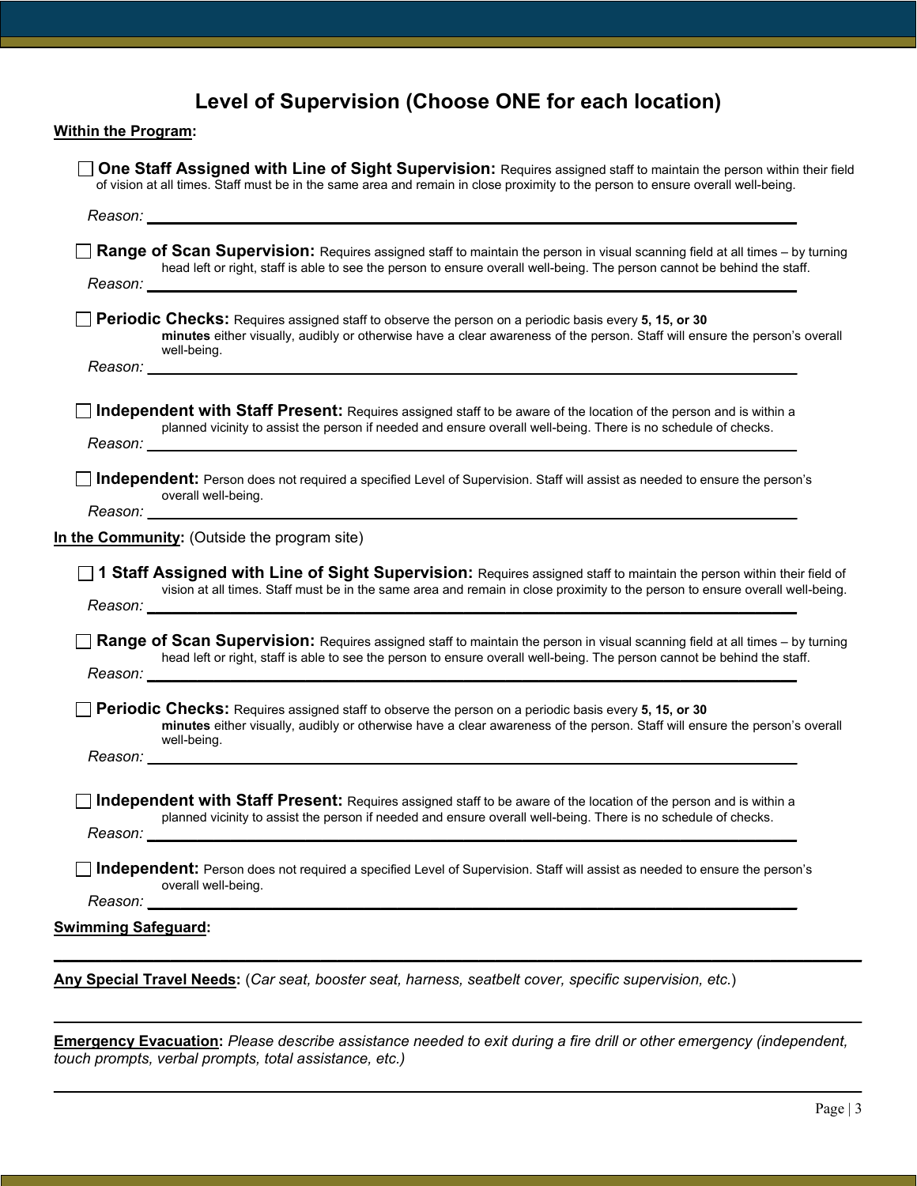# **Level of Supervision (Choose ONE for each location)**

|                 | Range of Scan Supervision: Requires assigned staff to maintain the person in visual scanning field at all times - by turning                                                                                                                                                                                                                                                                                                                                                                    |
|-----------------|-------------------------------------------------------------------------------------------------------------------------------------------------------------------------------------------------------------------------------------------------------------------------------------------------------------------------------------------------------------------------------------------------------------------------------------------------------------------------------------------------|
|                 | head left or right, staff is able to see the person to ensure overall well-being. The person cannot be behind the staff.<br>Reason: New York State State State State State State State State State State State State State State State State State State State State State State State State State State State State State State State State State State S                                                                                                                                      |
|                 | Periodic Checks: Requires assigned staff to observe the person on a periodic basis every 5, 15, or 30<br>minutes either visually, audibly or otherwise have a clear awareness of the person. Staff will ensure the person's overall<br>well-being.                                                                                                                                                                                                                                              |
|                 |                                                                                                                                                                                                                                                                                                                                                                                                                                                                                                 |
|                 | <b>Independent with Staff Present:</b> Requires assigned staff to be aware of the location of the person and is within a<br>planned vicinity to assist the person if needed and ensure overall well-being. There is no schedule of checks.                                                                                                                                                                                                                                                      |
|                 | Independent: Person does not required a specified Level of Supervision. Staff will assist as needed to ensure the person's                                                                                                                                                                                                                                                                                                                                                                      |
|                 |                                                                                                                                                                                                                                                                                                                                                                                                                                                                                                 |
|                 | overall well-being.                                                                                                                                                                                                                                                                                                                                                                                                                                                                             |
|                 | In the Community: (Outside the program site)                                                                                                                                                                                                                                                                                                                                                                                                                                                    |
|                 | $\Box$ 1 Staff Assigned with Line of Sight Supervision: Requires assigned staff to maintain the person within their field of<br>vision at all times. Staff must be in the same area and remain in close proximity to the person to ensure overall well-being.                                                                                                                                                                                                                                   |
|                 | Reason: <b>Example 2018</b> New York 1999 New York 1999 New York 1999 New York 1999 New York 1999 New York 1999 New York 1999 New York 1999 New York 1999 New York 1999 New York 1999 New York 1999 New York 1999 New York 1999 New<br>Range of Scan Supervision: Requires assigned staff to maintain the person in visual scanning field at all times - by turning<br>head left or right, staff is able to see the person to ensure overall well-being. The person cannot be behind the staff. |
|                 | <b>Periodic Checks:</b> Requires assigned staff to observe the person on a periodic basis every 5, 15, or 30<br>minutes either visually, audibly or otherwise have a clear awareness of the person. Staff will ensure the person's overall<br>well-being.                                                                                                                                                                                                                                       |
|                 |                                                                                                                                                                                                                                                                                                                                                                                                                                                                                                 |
|                 | □ Independent with Staff Present: Requires assigned staff to be aware of the location of the person and is within a                                                                                                                                                                                                                                                                                                                                                                             |
| Reason: _______ | planned vicinity to assist the person if needed and ensure overall well-being. There is no schedule of checks.                                                                                                                                                                                                                                                                                                                                                                                  |
|                 | □ Independent: Person does not required a specified Level of Supervision. Staff will assist as needed to ensure the person's<br>overall well-being.                                                                                                                                                                                                                                                                                                                                             |

**Emergency Evacuation:** *Please describe assistance needed to exit during a fire drill or other emergency (independent, touch prompts, verbal prompts, total assistance, etc.)*

**\_\_\_\_\_\_\_\_\_\_\_\_\_\_\_\_\_\_\_\_\_\_\_\_\_\_\_\_\_\_\_\_\_\_\_\_\_\_\_\_\_\_\_\_\_\_\_\_\_\_\_\_\_\_\_\_\_\_\_\_\_\_\_\_\_\_\_\_\_\_\_\_\_\_\_\_\_\_\_\_\_\_\_\_\_\_\_\_\_\_\_\_\_\_\_\_\_**

**\_\_\_\_\_\_\_\_\_\_\_\_\_\_\_\_\_\_\_\_\_\_\_\_\_\_\_\_\_\_\_\_\_\_\_\_\_\_\_\_\_\_\_\_\_\_\_\_\_\_\_\_\_\_\_\_\_\_\_\_\_\_\_\_\_\_\_\_\_\_\_\_\_\_\_\_\_\_\_\_\_\_\_\_\_\_\_\_\_\_\_\_\_\_\_\_\_**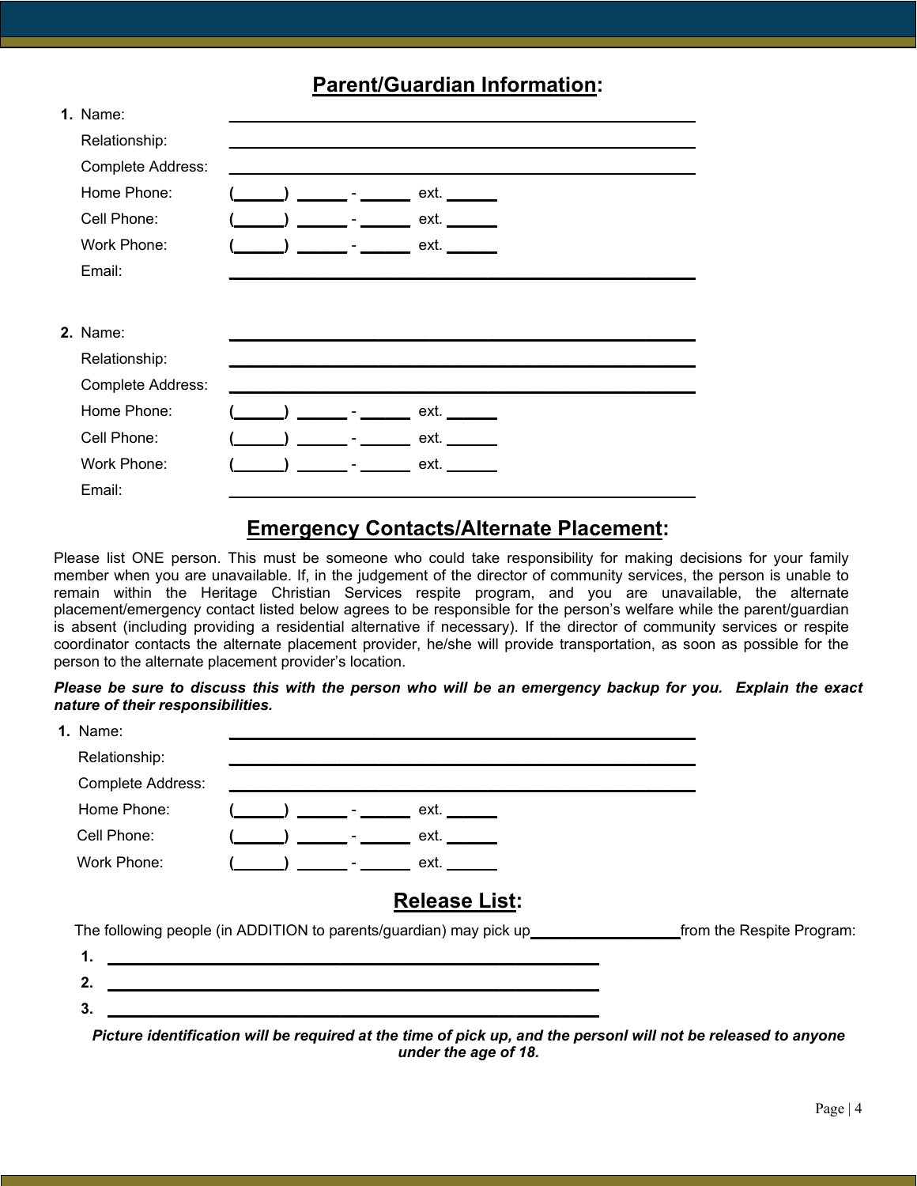## **Parent/Guardian Information:**

| 1. Name:          |  |      |  |
|-------------------|--|------|--|
| Relationship:     |  |      |  |
| Complete Address: |  |      |  |
| Home Phone:       |  | ext. |  |
| Cell Phone:       |  | ext. |  |
| Work Phone:       |  | ext. |  |
| Email:            |  |      |  |
|                   |  |      |  |
| <b>2.</b> Name:   |  |      |  |
| Relationship:     |  |      |  |
| Complete Address: |  |      |  |
| Home Phone:       |  | ext. |  |
| Cell Phone:       |  | ext. |  |
| Work Phone:       |  | ext. |  |
|                   |  |      |  |

## **Emergency Contacts/Alternate Placement:**

Please list ONE person. This must be someone who could take responsibility for making decisions for your family member when you are unavailable. If, in the judgement of the director of community services, the person is unable to remain within the Heritage Christian Services respite program, and you are unavailable, the alternate placement/emergency contact listed below agrees to be responsible for the person's welfare while the parent/guardian is absent (including providing a residential alternative if necessary). If the director of community services or respite coordinator contacts the alternate placement provider, he/she will provide transportation, as soon as possible for the person to the alternate placement provider's location.

### *Please be sure to discuss this with the person who will be an emergency backup for you. Explain the exact nature of their responsibilities.*

| 1. Name:          |  |                                                                                                                |                           |
|-------------------|--|----------------------------------------------------------------------------------------------------------------|---------------------------|
| Relationship:     |  |                                                                                                                |                           |
| Complete Address: |  |                                                                                                                |                           |
| Home Phone:       |  | ) __________________ ext. ________                                                                             |                           |
| Cell Phone:       |  | ext.                                                                                                           |                           |
| Work Phone:       |  | $\qquad \qquad \bullet$ $\qquad \qquad \bullet$ ext.                                                           |                           |
|                   |  | <b>Release List:</b>                                                                                           |                           |
|                   |  | The following people (in ADDITION to parents/guardian) may pick up______________                               | from the Respite Program: |
| 1.                |  |                                                                                                                |                           |
| 2.                |  |                                                                                                                |                           |
| 3.                |  |                                                                                                                |                           |
|                   |  | Picture identification will be required at the time of pick up, and the personl will not be released to anyone |                           |

*under the age of 18.*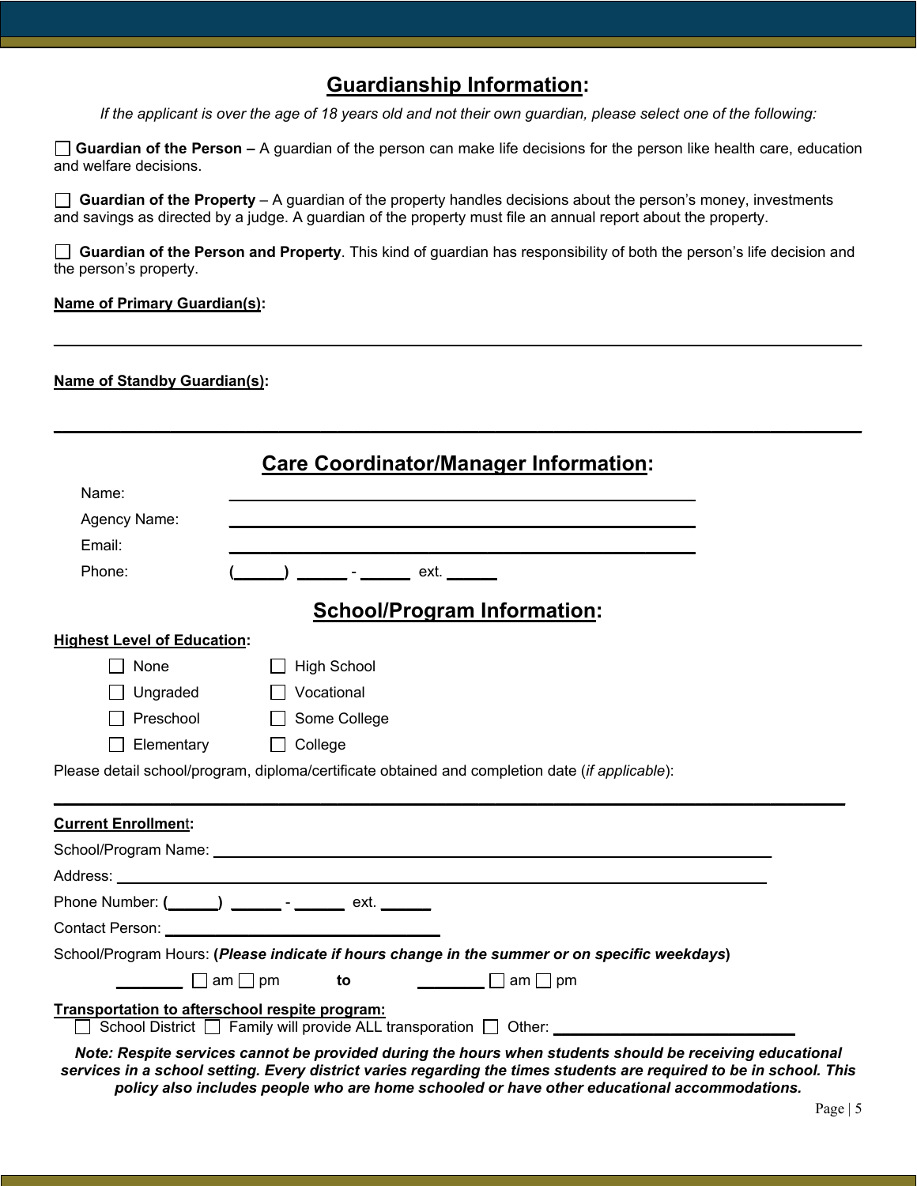## **Guardianship Information:**

*If the applicant is over the age of 18 years old and not their own guardian, please select one of the following:*

**Guardian of the Person –** A guardian of the person can make life decisions for the person like health care, education and welfare decisions.

**Guardian of the Property** – A guardian of the property handles decisions about the person's money, investments and savings as directed by a judge. A guardian of the property must file an annual report about the property.

 **Guardian of the Person and Property**. This kind of guardian has responsibility of both the person's life decision and the person's property.

**\_\_\_\_\_\_\_\_\_\_\_\_\_\_\_\_\_\_\_\_\_\_\_\_\_\_\_\_\_\_\_\_\_\_\_\_\_\_\_\_\_\_\_\_\_\_\_\_\_\_\_\_\_\_\_\_\_\_\_\_\_\_\_\_\_\_\_\_\_\_\_\_\_\_\_\_\_\_\_\_\_\_\_\_\_\_\_\_\_\_\_\_\_\_\_\_\_**

**\_\_\_\_\_\_\_\_\_\_\_\_\_\_\_\_\_\_\_\_\_\_\_\_\_\_\_\_\_\_\_\_\_\_\_\_\_\_\_\_\_\_\_\_\_\_\_\_\_\_\_\_\_\_\_\_\_\_\_\_\_\_\_\_\_\_\_\_\_\_\_\_\_\_\_\_\_\_\_\_\_\_\_\_\_\_\_\_\_\_\_\_\_\_\_\_\_**

### **Name of Primary Guardian(s):**

### **Name of Standby Guardian(s):**

|                                                      | <b>Care Coordinator/Manager Information:</b>                                                                                                                                                                                    |  |
|------------------------------------------------------|---------------------------------------------------------------------------------------------------------------------------------------------------------------------------------------------------------------------------------|--|
| Name:                                                |                                                                                                                                                                                                                                 |  |
| Agency Name:                                         |                                                                                                                                                                                                                                 |  |
| Email:                                               | <u> 1989 - Johann Stoff, amerikansk politiker (d. 1989)</u>                                                                                                                                                                     |  |
| Phone:                                               |                                                                                                                                                                                                                                 |  |
|                                                      | <b>School/Program Information:</b>                                                                                                                                                                                              |  |
| <b>Highest Level of Education:</b>                   |                                                                                                                                                                                                                                 |  |
| None                                                 | <b>High School</b>                                                                                                                                                                                                              |  |
| Ungraded                                             | Vocational                                                                                                                                                                                                                      |  |
| Preschool                                            | Some College                                                                                                                                                                                                                    |  |
| Elementary                                           | College<br>$\Box$                                                                                                                                                                                                               |  |
|                                                      | Please detail school/program, diploma/certificate obtained and completion date (if applicable):                                                                                                                                 |  |
| <b>Current Enrollment:</b>                           |                                                                                                                                                                                                                                 |  |
|                                                      |                                                                                                                                                                                                                                 |  |
|                                                      |                                                                                                                                                                                                                                 |  |
|                                                      | Phone Number: (______) ________- - _______ ext. _______                                                                                                                                                                         |  |
|                                                      |                                                                                                                                                                                                                                 |  |
|                                                      | School/Program Hours: (Please indicate if hours change in the summer or on specific weekdays)                                                                                                                                   |  |
| $\begin{array}{ccc} \hline \end{array}$ am $\Box$ pm | $\Box$ am $\Box$ pm<br>to                                                                                                                                                                                                       |  |
| Transportation to afterschool respite program:       | School District   Family will provide ALL transporation   Other: ___________________________________                                                                                                                            |  |
|                                                      | Note: Respite services cannot be provided during the hours when students should be receiving educational<br>convices in a saboal satting. Eveny district varios regarding the times students are required to be in saboal. This |  |

*services in a school setting. Every district varies regarding the times students are required to be in school. This policy also includes people who are home schooled or have other educational accommodations.*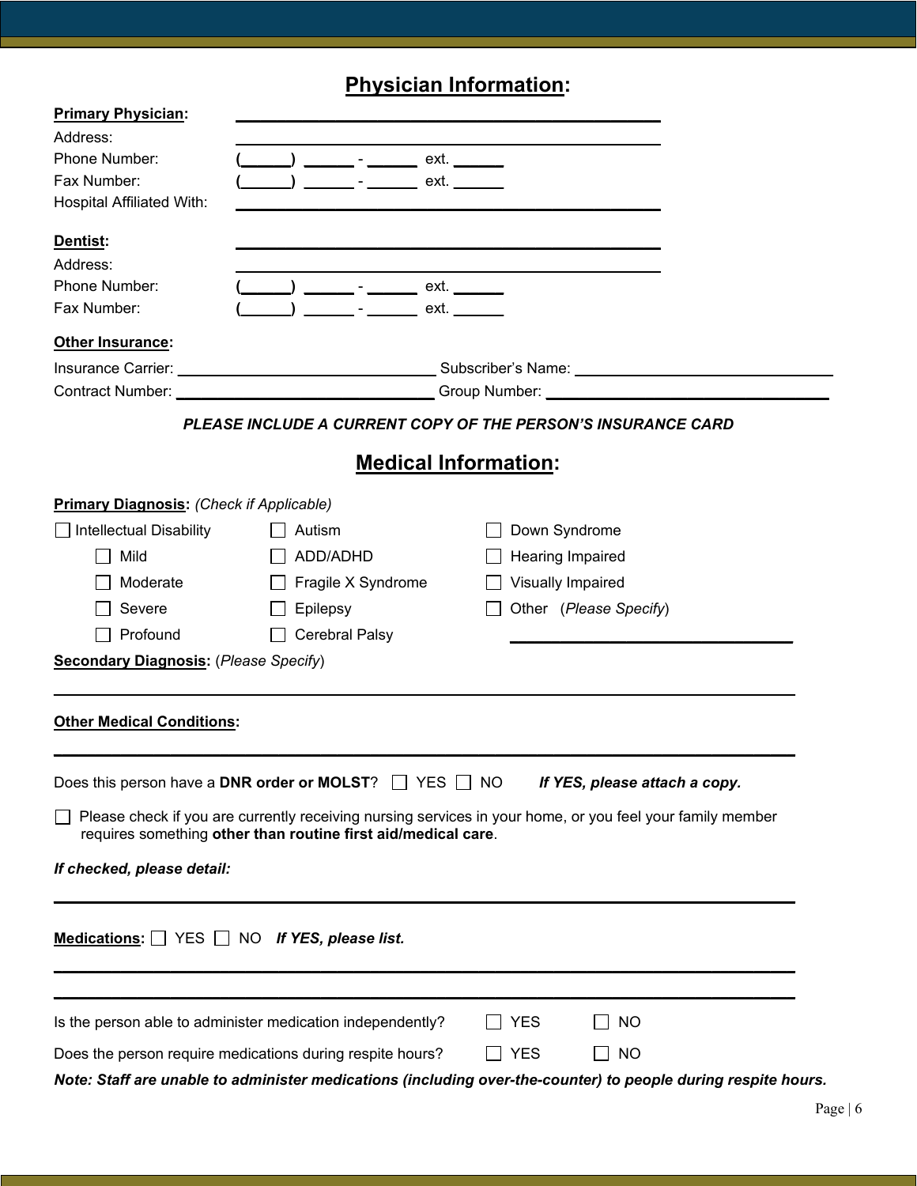# **Physician Information:**

| <b>Primary Physician:</b>                       |                                                                                                                                                                                                                                |                         |                               |
|-------------------------------------------------|--------------------------------------------------------------------------------------------------------------------------------------------------------------------------------------------------------------------------------|-------------------------|-------------------------------|
| Address:                                        |                                                                                                                                                                                                                                |                         |                               |
| Phone Number:                                   | ___ - _______ ext. ______                                                                                                                                                                                                      |                         |                               |
| Fax Number:                                     |                                                                                                                                                                                                                                | ext.                    |                               |
| <b>Hospital Affiliated With:</b>                |                                                                                                                                                                                                                                |                         |                               |
| <b>Dentist:</b>                                 |                                                                                                                                                                                                                                |                         |                               |
| Address:                                        |                                                                                                                                                                                                                                |                         |                               |
| Phone Number:                                   | __________ _ ____________ ext. ________                                                                                                                                                                                        |                         |                               |
| Fax Number:                                     | $\overline{\phantom{a}}$ $\overline{\phantom{a}}$                                                                                                                                                                              | ext.                    |                               |
| Other Insurance:                                |                                                                                                                                                                                                                                |                         |                               |
|                                                 |                                                                                                                                                                                                                                |                         |                               |
|                                                 | Contract Number: Contract Number: Contract Number: Contract Number: Contract Number: Contract Number: Contract Number: Contract Number: Contract Number: Contract Number: Contract Number: Contract Number: Contract Number: C |                         |                               |
|                                                 | PLEASE INCLUDE A CURRENT COPY OF THE PERSON'S INSURANCE CARD                                                                                                                                                                   |                         |                               |
|                                                 | <b>Medical Information:</b>                                                                                                                                                                                                    |                         |                               |
| <b>Primary Diagnosis: (Check if Applicable)</b> |                                                                                                                                                                                                                                |                         |                               |
| Intellectual Disability                         | Autism                                                                                                                                                                                                                         | Down Syndrome           |                               |
| Mild                                            | ADD/ADHD                                                                                                                                                                                                                       | <b>Hearing Impaired</b> |                               |
| Moderate                                        | Fragile X Syndrome                                                                                                                                                                                                             | Visually Impaired       |                               |
| Severe                                          | Epilepsy                                                                                                                                                                                                                       | Other (Please Specify)  |                               |
| Profound                                        | <b>Cerebral Palsy</b>                                                                                                                                                                                                          |                         |                               |
|                                                 |                                                                                                                                                                                                                                |                         |                               |
| <b>Secondary Diagnosis: (Please Specify)</b>    |                                                                                                                                                                                                                                |                         |                               |
| <b>Other Medical Conditions:</b>                |                                                                                                                                                                                                                                |                         |                               |
|                                                 | Does this person have a DNR order or MOLST? □ YES □ NO                                                                                                                                                                         |                         | If YES, please attach a copy. |
|                                                 | Please check if you are currently receiving nursing services in your home, or you feel your family member<br>requires something other than routine first aid/medical care.                                                     |                         |                               |
| If checked, please detail:                      |                                                                                                                                                                                                                                |                         |                               |
|                                                 | Medications: $\Box$ YES $\Box$ NO If YES, please list.                                                                                                                                                                         |                         |                               |
|                                                 | Is the person able to administer medication independently?                                                                                                                                                                     | <b>YES</b>              | NO                            |
|                                                 | Does the person require medications during respite hours?                                                                                                                                                                      | YES                     | $\Box$ No                     |
|                                                 | Note: Staff are unable to administer medications (including over-the-counter) to people during respite hours.                                                                                                                  |                         |                               |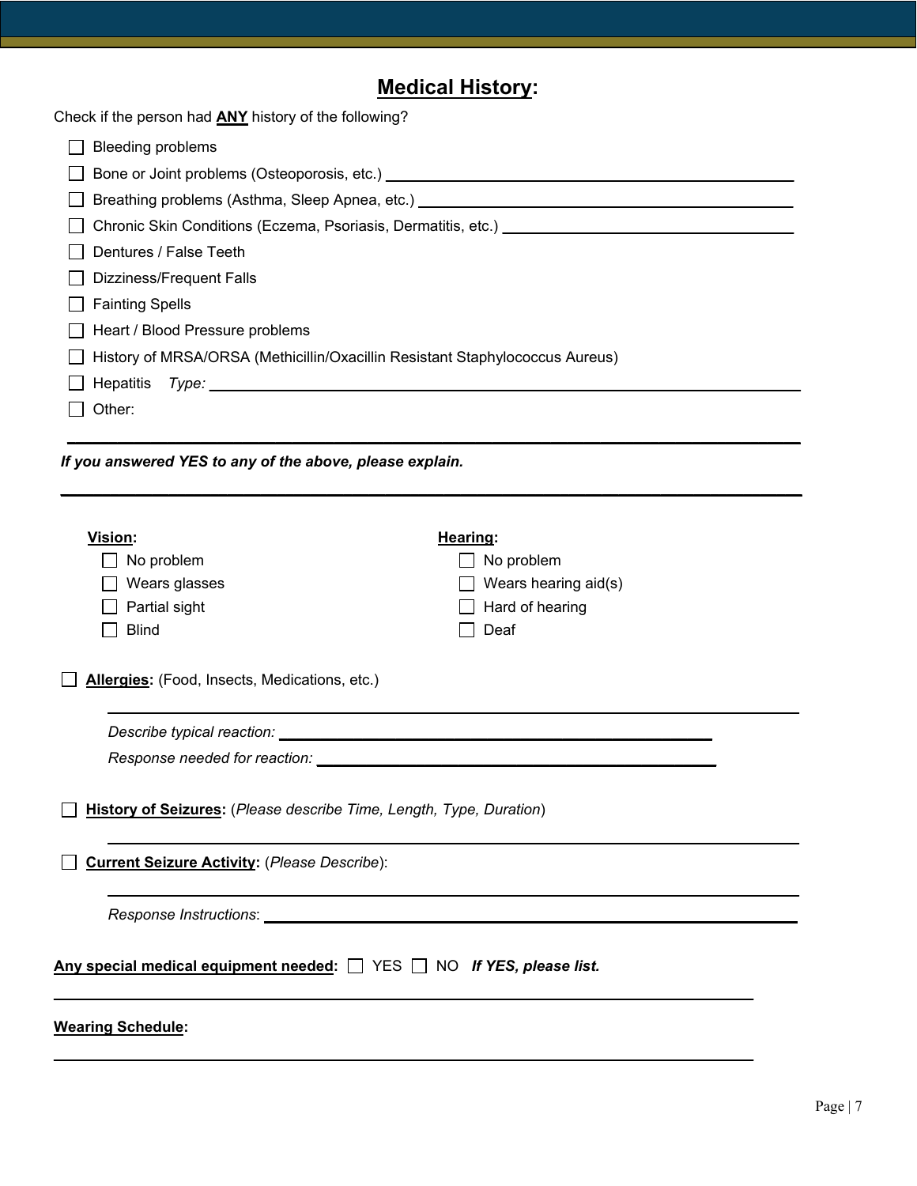# **Medical History:**

Check if the person had **ANY** history of the following?

| <b>Bleeding problems</b><br>Chronic Skin Conditions (Eczema, Psoriasis, Dermatitis, etc.) [18] [19] Chronic Skin Conditions (Eczema, Psoriasis, Dermatitis, etc.)<br>Dentures / False Teeth<br>Dizziness/Frequent Falls<br><b>Fainting Spells</b><br>Heart / Blood Pressure problems<br>History of MRSA/ORSA (Methicillin/Oxacillin Resistant Staphylococcus Aureus)<br>Hepatitis<br>Type:<br>Other:<br>If you answered YES to any of the above, please explain.<br>Vision:<br><b>Hearing:</b><br>No problem<br>No problem<br>Wears glasses<br>Wears hearing aid(s)<br>Partial sight<br>Hard of hearing<br>Deaf<br><b>Blind</b><br>Allergies: (Food, Insects, Medications, etc.)<br>History of Seizures: (Please describe Time, Length, Type, Duration)<br><b>Current Seizure Activity: (Please Describe):</b><br>Any special medical equipment needed: $\Box$ YES $\Box$ NO <i>If YES, please list.</i><br><b>Wearing Schedule:</b> | onour in the person near Art Finatory of the following |  |
|--------------------------------------------------------------------------------------------------------------------------------------------------------------------------------------------------------------------------------------------------------------------------------------------------------------------------------------------------------------------------------------------------------------------------------------------------------------------------------------------------------------------------------------------------------------------------------------------------------------------------------------------------------------------------------------------------------------------------------------------------------------------------------------------------------------------------------------------------------------------------------------------------------------------------------------|--------------------------------------------------------|--|
|                                                                                                                                                                                                                                                                                                                                                                                                                                                                                                                                                                                                                                                                                                                                                                                                                                                                                                                                      |                                                        |  |
|                                                                                                                                                                                                                                                                                                                                                                                                                                                                                                                                                                                                                                                                                                                                                                                                                                                                                                                                      |                                                        |  |
|                                                                                                                                                                                                                                                                                                                                                                                                                                                                                                                                                                                                                                                                                                                                                                                                                                                                                                                                      |                                                        |  |
|                                                                                                                                                                                                                                                                                                                                                                                                                                                                                                                                                                                                                                                                                                                                                                                                                                                                                                                                      |                                                        |  |
|                                                                                                                                                                                                                                                                                                                                                                                                                                                                                                                                                                                                                                                                                                                                                                                                                                                                                                                                      |                                                        |  |
|                                                                                                                                                                                                                                                                                                                                                                                                                                                                                                                                                                                                                                                                                                                                                                                                                                                                                                                                      |                                                        |  |
|                                                                                                                                                                                                                                                                                                                                                                                                                                                                                                                                                                                                                                                                                                                                                                                                                                                                                                                                      |                                                        |  |
|                                                                                                                                                                                                                                                                                                                                                                                                                                                                                                                                                                                                                                                                                                                                                                                                                                                                                                                                      |                                                        |  |
|                                                                                                                                                                                                                                                                                                                                                                                                                                                                                                                                                                                                                                                                                                                                                                                                                                                                                                                                      |                                                        |  |
|                                                                                                                                                                                                                                                                                                                                                                                                                                                                                                                                                                                                                                                                                                                                                                                                                                                                                                                                      |                                                        |  |
|                                                                                                                                                                                                                                                                                                                                                                                                                                                                                                                                                                                                                                                                                                                                                                                                                                                                                                                                      |                                                        |  |
|                                                                                                                                                                                                                                                                                                                                                                                                                                                                                                                                                                                                                                                                                                                                                                                                                                                                                                                                      |                                                        |  |
|                                                                                                                                                                                                                                                                                                                                                                                                                                                                                                                                                                                                                                                                                                                                                                                                                                                                                                                                      |                                                        |  |
|                                                                                                                                                                                                                                                                                                                                                                                                                                                                                                                                                                                                                                                                                                                                                                                                                                                                                                                                      |                                                        |  |
|                                                                                                                                                                                                                                                                                                                                                                                                                                                                                                                                                                                                                                                                                                                                                                                                                                                                                                                                      |                                                        |  |
|                                                                                                                                                                                                                                                                                                                                                                                                                                                                                                                                                                                                                                                                                                                                                                                                                                                                                                                                      |                                                        |  |
|                                                                                                                                                                                                                                                                                                                                                                                                                                                                                                                                                                                                                                                                                                                                                                                                                                                                                                                                      |                                                        |  |
|                                                                                                                                                                                                                                                                                                                                                                                                                                                                                                                                                                                                                                                                                                                                                                                                                                                                                                                                      |                                                        |  |
|                                                                                                                                                                                                                                                                                                                                                                                                                                                                                                                                                                                                                                                                                                                                                                                                                                                                                                                                      |                                                        |  |
|                                                                                                                                                                                                                                                                                                                                                                                                                                                                                                                                                                                                                                                                                                                                                                                                                                                                                                                                      |                                                        |  |
|                                                                                                                                                                                                                                                                                                                                                                                                                                                                                                                                                                                                                                                                                                                                                                                                                                                                                                                                      |                                                        |  |
|                                                                                                                                                                                                                                                                                                                                                                                                                                                                                                                                                                                                                                                                                                                                                                                                                                                                                                                                      |                                                        |  |
|                                                                                                                                                                                                                                                                                                                                                                                                                                                                                                                                                                                                                                                                                                                                                                                                                                                                                                                                      |                                                        |  |
|                                                                                                                                                                                                                                                                                                                                                                                                                                                                                                                                                                                                                                                                                                                                                                                                                                                                                                                                      |                                                        |  |
|                                                                                                                                                                                                                                                                                                                                                                                                                                                                                                                                                                                                                                                                                                                                                                                                                                                                                                                                      |                                                        |  |
|                                                                                                                                                                                                                                                                                                                                                                                                                                                                                                                                                                                                                                                                                                                                                                                                                                                                                                                                      |                                                        |  |
|                                                                                                                                                                                                                                                                                                                                                                                                                                                                                                                                                                                                                                                                                                                                                                                                                                                                                                                                      |                                                        |  |
|                                                                                                                                                                                                                                                                                                                                                                                                                                                                                                                                                                                                                                                                                                                                                                                                                                                                                                                                      |                                                        |  |
|                                                                                                                                                                                                                                                                                                                                                                                                                                                                                                                                                                                                                                                                                                                                                                                                                                                                                                                                      |                                                        |  |
|                                                                                                                                                                                                                                                                                                                                                                                                                                                                                                                                                                                                                                                                                                                                                                                                                                                                                                                                      |                                                        |  |
|                                                                                                                                                                                                                                                                                                                                                                                                                                                                                                                                                                                                                                                                                                                                                                                                                                                                                                                                      |                                                        |  |
|                                                                                                                                                                                                                                                                                                                                                                                                                                                                                                                                                                                                                                                                                                                                                                                                                                                                                                                                      |                                                        |  |
|                                                                                                                                                                                                                                                                                                                                                                                                                                                                                                                                                                                                                                                                                                                                                                                                                                                                                                                                      |                                                        |  |
|                                                                                                                                                                                                                                                                                                                                                                                                                                                                                                                                                                                                                                                                                                                                                                                                                                                                                                                                      |                                                        |  |

**\_\_\_\_\_\_\_\_\_\_\_\_\_\_\_\_\_\_\_\_\_\_\_\_\_\_\_\_\_\_\_\_\_\_\_\_\_\_\_\_\_\_\_\_\_\_\_\_\_\_\_\_\_\_\_\_\_\_\_\_\_\_\_\_\_\_\_\_\_\_\_\_\_\_\_\_\_\_\_\_\_\_\_\_**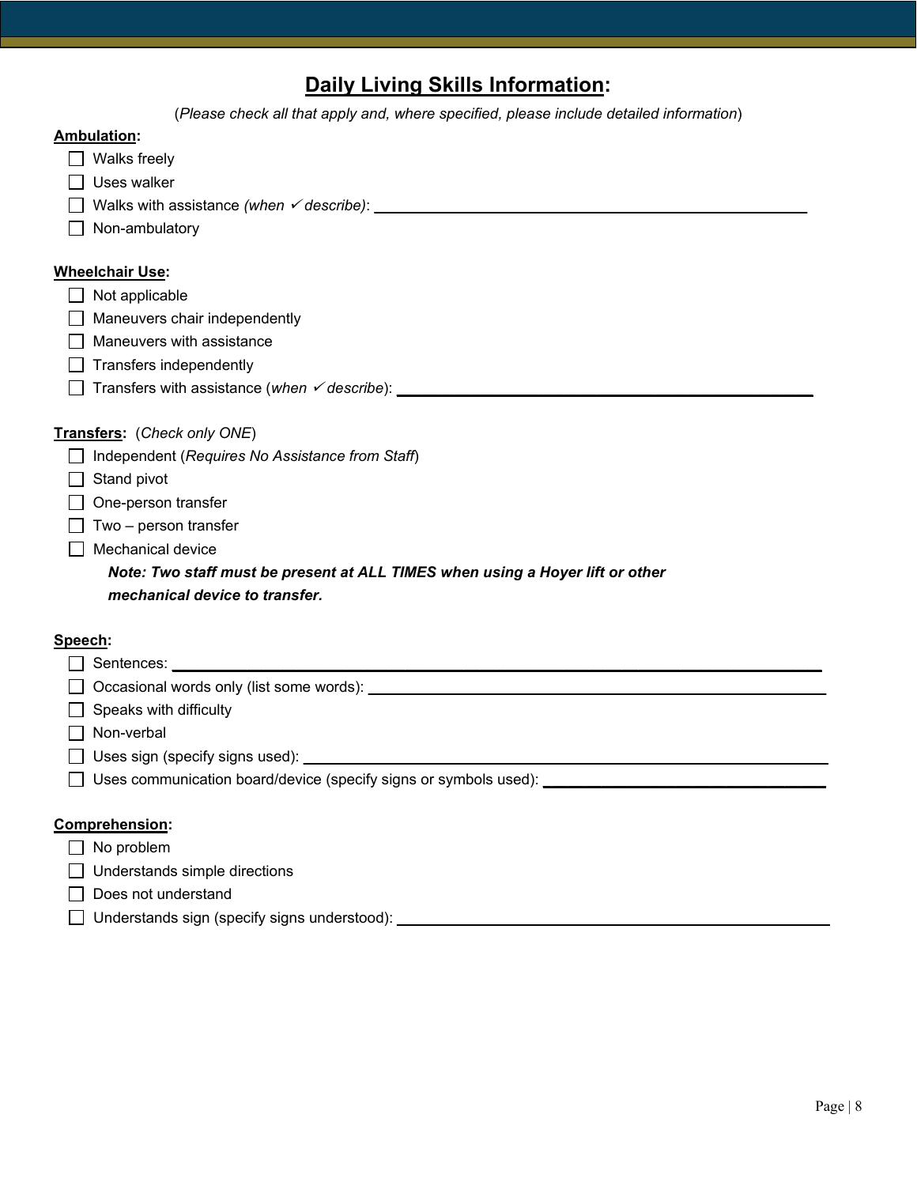# **Daily Living Skills Information:**

|         | (Please check all that apply and, where specified, please include detailed information)                                                                                                                                       |
|---------|-------------------------------------------------------------------------------------------------------------------------------------------------------------------------------------------------------------------------------|
|         | <b>Ambulation:</b>                                                                                                                                                                                                            |
|         | Walks freely                                                                                                                                                                                                                  |
|         | Uses walker                                                                                                                                                                                                                   |
|         | Walks with assistance (when $\checkmark$ describe): $\Box$                                                                                                                                                                    |
|         | Non-ambulatory                                                                                                                                                                                                                |
|         |                                                                                                                                                                                                                               |
|         | <b>Wheelchair Use:</b>                                                                                                                                                                                                        |
|         | Not applicable                                                                                                                                                                                                                |
|         | Maneuvers chair independently                                                                                                                                                                                                 |
|         | Maneuvers with assistance                                                                                                                                                                                                     |
|         | Transfers independently                                                                                                                                                                                                       |
|         | Transfers with assistance (when v describe): ___________________________________                                                                                                                                              |
|         |                                                                                                                                                                                                                               |
|         | Transfers: (Check only ONE)                                                                                                                                                                                                   |
|         | Independent (Requires No Assistance from Staff)                                                                                                                                                                               |
|         | Stand pivot                                                                                                                                                                                                                   |
|         | One-person transfer                                                                                                                                                                                                           |
|         | Two - person transfer                                                                                                                                                                                                         |
|         | Mechanical device                                                                                                                                                                                                             |
|         | Note: Two staff must be present at ALL TIMES when using a Hoyer lift or other                                                                                                                                                 |
|         | mechanical device to transfer.                                                                                                                                                                                                |
|         |                                                                                                                                                                                                                               |
| Speech: |                                                                                                                                                                                                                               |
|         |                                                                                                                                                                                                                               |
|         | Occasional words only (list some words): example and the set of the set of the set of the set of the set of the set of the set of the set of the set of the set of the set of the set of the set of the set of the set of the |
|         | Speaks with difficulty                                                                                                                                                                                                        |
|         | Non-verbal                                                                                                                                                                                                                    |
|         | Uses sign (specify signs used):                                                                                                                                                                                               |

Uses communication board/device (specify signs or symbols used): **\_\_\_\_\_\_\_\_\_\_\_\_\_\_\_\_\_\_\_\_\_\_\_\_\_\_\_\_\_\_\_\_\_\_**

### **Comprehension:**

| $\Box$ No problem |  |
|-------------------|--|
|-------------------|--|

□ Understands simple directions

- Does not understand
- Understands sign (specify signs understood): **\_\_\_\_\_\_\_\_\_\_\_\_\_\_\_\_\_\_\_\_\_\_\_\_\_\_\_\_\_\_\_\_\_\_\_\_\_\_\_\_\_\_\_\_\_\_\_\_\_\_\_\_**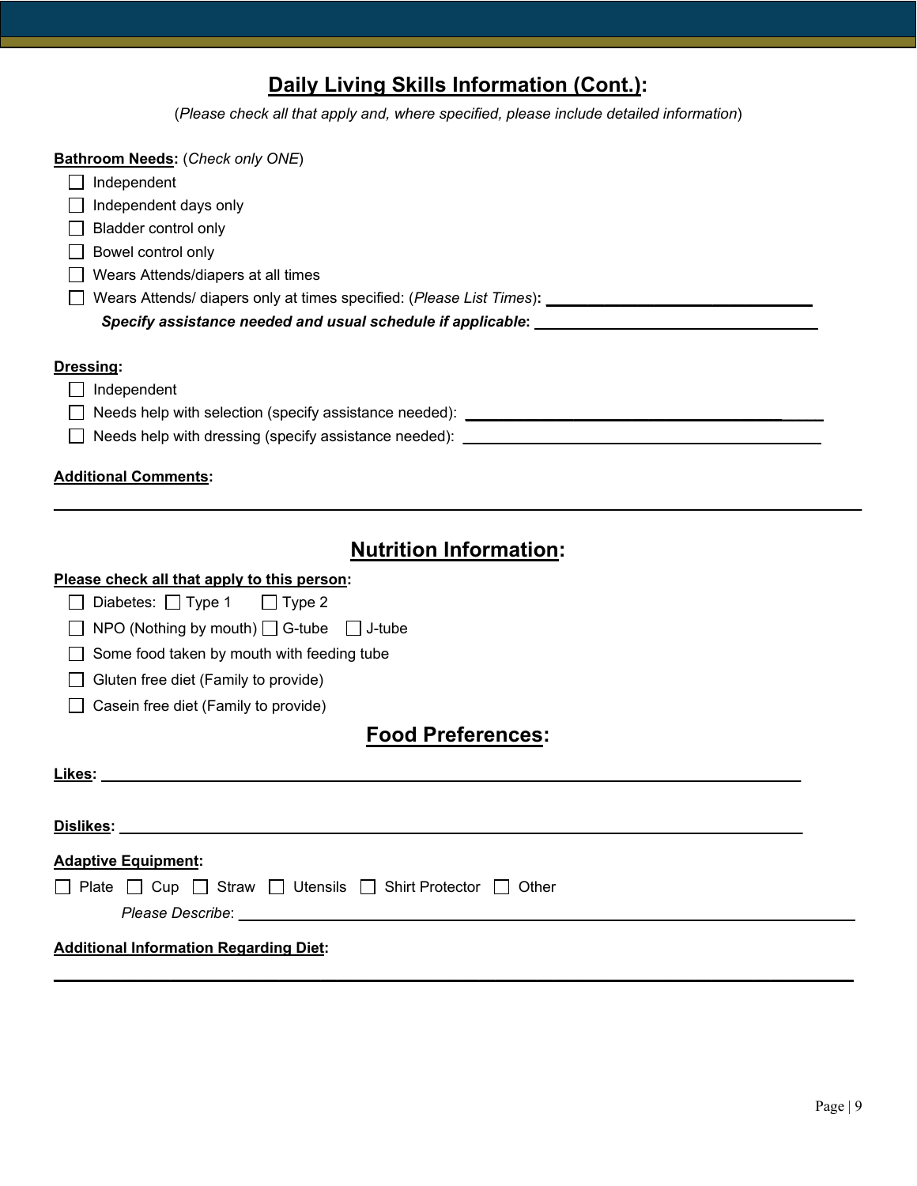# **Daily Living Skills Information (Cont.):**

(*Please check all that apply and, where specified, please include detailed information*)

| <b>Bathroom Needs: (Check only ONE)</b>                                                              |
|------------------------------------------------------------------------------------------------------|
| Independent                                                                                          |
| Independent days only                                                                                |
| Bladder control only                                                                                 |
| Bowel control only                                                                                   |
| Wears Attends/diapers at all times                                                                   |
| Wears Attends/ diapers only at times specified: (Please List Times): _______________________________ |
| Specify assistance needed and usual schedule if applicable: www.community.com/community/             |
|                                                                                                      |
| Dressing:                                                                                            |
| Independent                                                                                          |
|                                                                                                      |
| $\Box$                                                                                               |
|                                                                                                      |
| <b>Additional Comments:</b>                                                                          |
|                                                                                                      |
|                                                                                                      |
| <b>Nutrition Information:</b>                                                                        |
| Please check all that apply to this person:                                                          |
| Diabetes: $\Box$ Type 1<br>$\Box$ Type 2                                                             |
| NPO (Nothing by mouth) $\Box$ G-tube $\Box$ J-tube                                                   |
| Some food taken by mouth with feeding tube                                                           |
| Gluten free diet (Family to provide)                                                                 |
| Casein free diet (Family to provide)                                                                 |

# **Food Preferences:**

| Likes:                                                     |  |
|------------------------------------------------------------|--|
| <b>Dislikes:</b>                                           |  |
| <b>Adaptive Equipment:</b>                                 |  |
| □ Plate □ Cup □ Straw □ Utensils □ Shirt Protector □ Other |  |
|                                                            |  |
| <b>Additional Information Regarding Diet:</b>              |  |

**\_\_\_\_\_\_\_\_\_\_\_\_\_\_\_\_\_\_\_\_\_\_\_\_\_\_\_\_\_\_\_\_\_\_\_\_\_\_\_\_\_\_\_\_\_\_\_\_\_\_\_\_\_\_\_\_\_\_\_\_\_\_\_\_\_\_\_\_\_\_\_\_\_\_\_\_\_\_\_\_\_\_\_\_\_\_\_\_\_\_\_\_\_\_\_\_**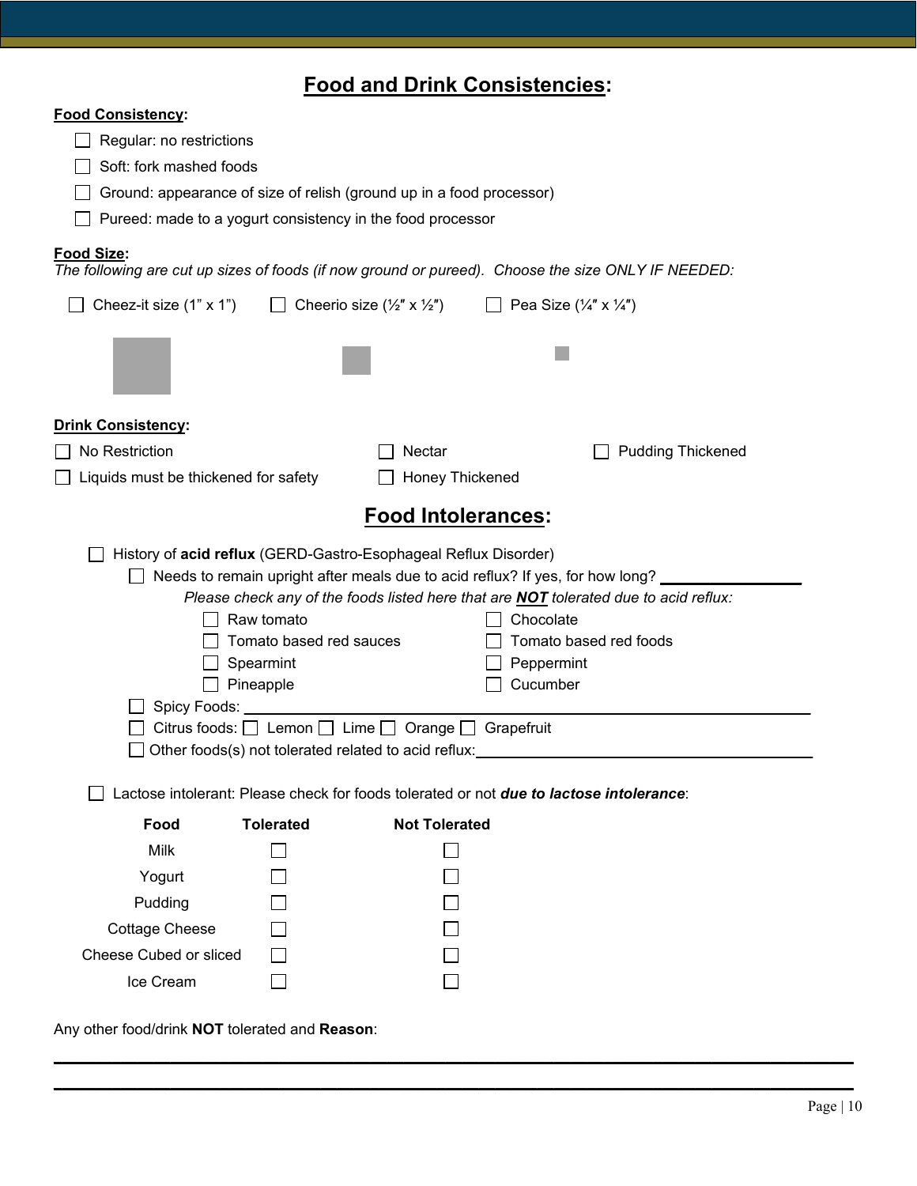# **Food and Drink Consistencies:**

| <b>Food Consistency:</b>                                                                                                     |                                                                                                                                                           |                                                                                                                                                                                                                                               |  |
|------------------------------------------------------------------------------------------------------------------------------|-----------------------------------------------------------------------------------------------------------------------------------------------------------|-----------------------------------------------------------------------------------------------------------------------------------------------------------------------------------------------------------------------------------------------|--|
| Regular: no restrictions                                                                                                     |                                                                                                                                                           |                                                                                                                                                                                                                                               |  |
| Soft: fork mashed foods                                                                                                      |                                                                                                                                                           |                                                                                                                                                                                                                                               |  |
| Ground: appearance of size of relish (ground up in a food processor)                                                         |                                                                                                                                                           |                                                                                                                                                                                                                                               |  |
| Pureed: made to a yogurt consistency in the food processor                                                                   |                                                                                                                                                           |                                                                                                                                                                                                                                               |  |
| <b>Food Size:</b>                                                                                                            |                                                                                                                                                           | The following are cut up sizes of foods (if now ground or pureed). Choose the size ONLY IF NEEDED:                                                                                                                                            |  |
| Cheez-it size (1" x 1")                                                                                                      | Cheerio size (½" x ½")                                                                                                                                    | Pea Size $(\frac{1}{4}$ " x $\frac{1}{4}$ ")                                                                                                                                                                                                  |  |
|                                                                                                                              |                                                                                                                                                           |                                                                                                                                                                                                                                               |  |
| <b>Drink Consistency:</b>                                                                                                    |                                                                                                                                                           |                                                                                                                                                                                                                                               |  |
| No Restriction                                                                                                               | Nectar                                                                                                                                                    | <b>Pudding Thickened</b>                                                                                                                                                                                                                      |  |
| Liquids must be thickened for safety                                                                                         | Honey Thickened                                                                                                                                           |                                                                                                                                                                                                                                               |  |
| <b>Food Intolerances:</b>                                                                                                    |                                                                                                                                                           |                                                                                                                                                                                                                                               |  |
| History of acid reflux (GERD-Gastro-Esophageal Reflux Disorder)<br>Raw tomato<br>Spearmint<br>Pineapple<br>Spicy Foods: ____ | Tomato based red sauces<br>Citrus foods: $\Box$ Lemon $\Box$ Lime $\Box$ Orange $\Box$ Grapefruit<br>Other foods(s) not tolerated related to acid reflux: | Needs to remain upright after meals due to acid reflux? If yes, for how long?<br>Please check any of the foods listed here that are <b>NOT</b> tolerated due to acid reflux:<br>Chocolate<br>Tomato based red foods<br>Peppermint<br>Cucumber |  |
|                                                                                                                              |                                                                                                                                                           |                                                                                                                                                                                                                                               |  |
|                                                                                                                              |                                                                                                                                                           | Lactose intolerant: Please check for foods tolerated or not <b>due to lactose intolerance</b> :                                                                                                                                               |  |
| <b>Tolerated</b><br>Food                                                                                                     | <b>Not Tolerated</b>                                                                                                                                      |                                                                                                                                                                                                                                               |  |
| <b>Milk</b>                                                                                                                  |                                                                                                                                                           |                                                                                                                                                                                                                                               |  |
| Yogurt                                                                                                                       |                                                                                                                                                           |                                                                                                                                                                                                                                               |  |
| Pudding                                                                                                                      |                                                                                                                                                           |                                                                                                                                                                                                                                               |  |
| <b>Cottage Cheese</b>                                                                                                        |                                                                                                                                                           |                                                                                                                                                                                                                                               |  |
| <b>Cheese Cubed or sliced</b>                                                                                                |                                                                                                                                                           |                                                                                                                                                                                                                                               |  |
| Ice Cream                                                                                                                    |                                                                                                                                                           |                                                                                                                                                                                                                                               |  |

**\_\_\_\_\_\_\_\_\_\_\_\_\_\_\_\_\_\_\_\_\_\_\_\_\_\_\_\_\_\_\_\_\_\_\_\_\_\_\_\_\_\_\_\_\_\_\_\_\_\_\_\_\_\_\_\_\_\_\_\_\_\_\_\_\_\_\_\_\_\_\_\_\_\_\_\_\_\_\_\_\_\_\_\_\_\_\_\_\_\_\_\_\_\_\_\_ \_\_\_\_\_\_\_\_\_\_\_\_\_\_\_\_\_\_\_\_\_\_\_\_\_\_\_\_\_\_\_\_\_\_\_\_\_\_\_\_\_\_\_\_\_\_\_\_\_\_\_\_\_\_\_\_\_\_\_\_\_\_\_\_\_\_\_\_\_\_\_\_\_\_\_\_\_\_\_\_\_\_\_\_\_\_\_\_\_\_\_\_\_\_\_\_**

Any other food/drink **NOT** tolerated and **Reason**: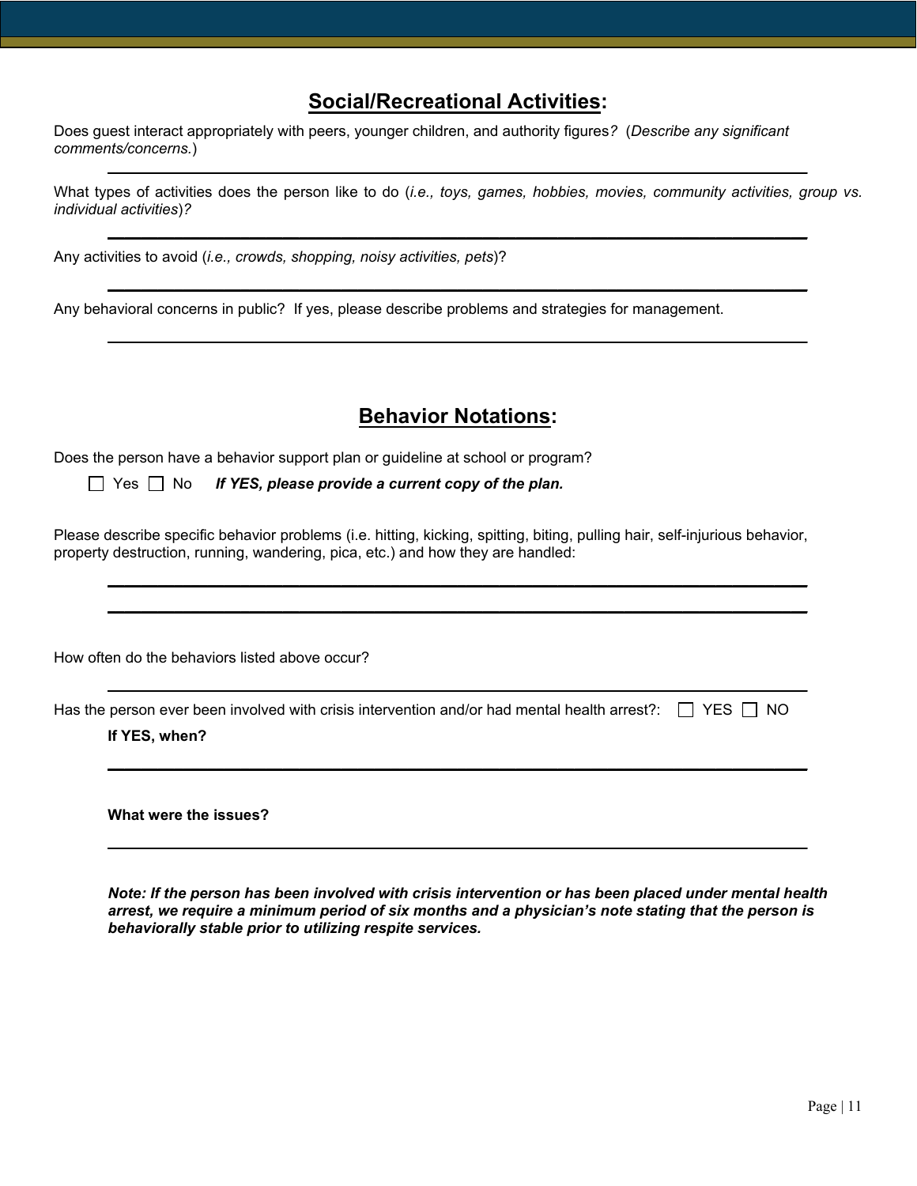## **Social/Recreational Activities:**

Does guest interact appropriately with peers, younger children, and authority figures*?* (*Describe any significant comments/concerns.*)

What types of activities does the person like to do (*i.e., toys, games, hobbies, movies, community activities, group vs. individual activities*)*?*

**\_\_\_\_\_\_\_\_\_\_\_\_\_\_\_\_\_\_\_\_\_\_\_\_\_\_\_\_\_\_\_\_\_\_\_\_\_\_\_\_\_\_\_\_\_\_\_\_\_\_\_\_\_\_\_\_\_\_\_\_\_\_\_\_\_\_\_\_\_\_\_\_\_\_\_\_\_\_\_\_\_\_\_\_**

**\_\_\_\_\_\_\_\_\_\_\_\_\_\_\_\_\_\_\_\_\_\_\_\_\_\_\_\_\_\_\_\_\_\_\_\_\_\_\_\_\_\_\_\_\_\_\_\_\_\_\_\_\_\_\_\_\_\_\_\_\_\_\_\_\_\_\_\_\_\_\_\_\_\_\_\_\_\_\_\_\_\_\_\_**

**\_\_\_\_\_\_\_\_\_\_\_\_\_\_\_\_\_\_\_\_\_\_\_\_\_\_\_\_\_\_\_\_\_\_\_\_\_\_\_\_\_\_\_\_\_\_\_\_\_\_\_\_\_\_\_\_\_\_\_\_\_\_\_\_\_\_\_\_\_\_\_\_\_\_\_\_\_\_\_\_\_\_\_\_**

**\_\_\_\_\_\_\_\_\_\_\_\_\_\_\_\_\_\_\_\_\_\_\_\_\_\_\_\_\_\_\_\_\_\_\_\_\_\_\_\_\_\_\_\_\_\_\_\_\_\_\_\_\_\_\_\_\_\_\_\_\_\_\_\_\_\_\_\_\_\_\_\_\_\_\_\_\_\_\_\_\_\_\_\_**

Any activities to avoid (*i.e., crowds, shopping, noisy activities, pets*)?

Any behavioral concerns in public? If yes, please describe problems and strategies for management.

## **Behavior Notations:**

Does the person have a behavior support plan or guideline at school or program?

Yes No *If YES, please provide a current copy of the plan.*

Please describe specific behavior problems (i.e. hitting, kicking, spitting, biting, pulling hair, self-injurious behavior, property destruction, running, wandering, pica, etc.) and how they are handled:

**\_\_\_\_\_\_\_\_\_\_\_\_\_\_\_\_\_\_\_\_\_\_\_\_\_\_\_\_\_\_\_\_\_\_\_\_\_\_\_\_\_\_\_\_\_\_\_\_\_\_\_\_\_\_\_\_\_\_\_\_\_\_\_\_\_\_\_\_\_\_\_\_\_\_\_\_\_\_\_\_\_\_\_\_ \_\_\_\_\_\_\_\_\_\_\_\_\_\_\_\_\_\_\_\_\_\_\_\_\_\_\_\_\_\_\_\_\_\_\_\_\_\_\_\_\_\_\_\_\_\_\_\_\_\_\_\_\_\_\_\_\_\_\_\_\_\_\_\_\_\_\_\_\_\_\_\_\_\_\_\_\_\_\_\_\_\_\_\_**

**\_\_\_\_\_\_\_\_\_\_\_\_\_\_\_\_\_\_\_\_\_\_\_\_\_\_\_\_\_\_\_\_\_\_\_\_\_\_\_\_\_\_\_\_\_\_\_\_\_\_\_\_\_\_\_\_\_\_\_\_\_\_\_\_\_\_\_\_\_\_\_\_\_\_\_\_\_\_\_\_\_\_\_\_**

**\_\_\_\_\_\_\_\_\_\_\_\_\_\_\_\_\_\_\_\_\_\_\_\_\_\_\_\_\_\_\_\_\_\_\_\_\_\_\_\_\_\_\_\_\_\_\_\_\_\_\_\_\_\_\_\_\_\_\_\_\_\_\_\_\_\_\_\_\_\_\_\_\_\_\_\_\_\_\_\_\_\_\_\_**

**\_\_\_\_\_\_\_\_\_\_\_\_\_\_\_\_\_\_\_\_\_\_\_\_\_\_\_\_\_\_\_\_\_\_\_\_\_\_\_\_\_\_\_\_\_\_\_\_\_\_\_\_\_\_\_\_\_\_\_\_\_\_\_\_\_\_\_\_\_\_\_\_\_\_\_\_\_\_\_\_\_\_\_\_**

How often do the behaviors listed above occur?

Has the person ever been involved with crisis intervention and/or had mental health arrest?:  $\Box$  YES  $\Box$  NO

**If YES, when?**

**What were the issues?**

*Note: If the person has been involved with crisis intervention or has been placed under mental health arrest, we require a minimum period of six months and a physician's note stating that the person is behaviorally stable prior to utilizing respite services.*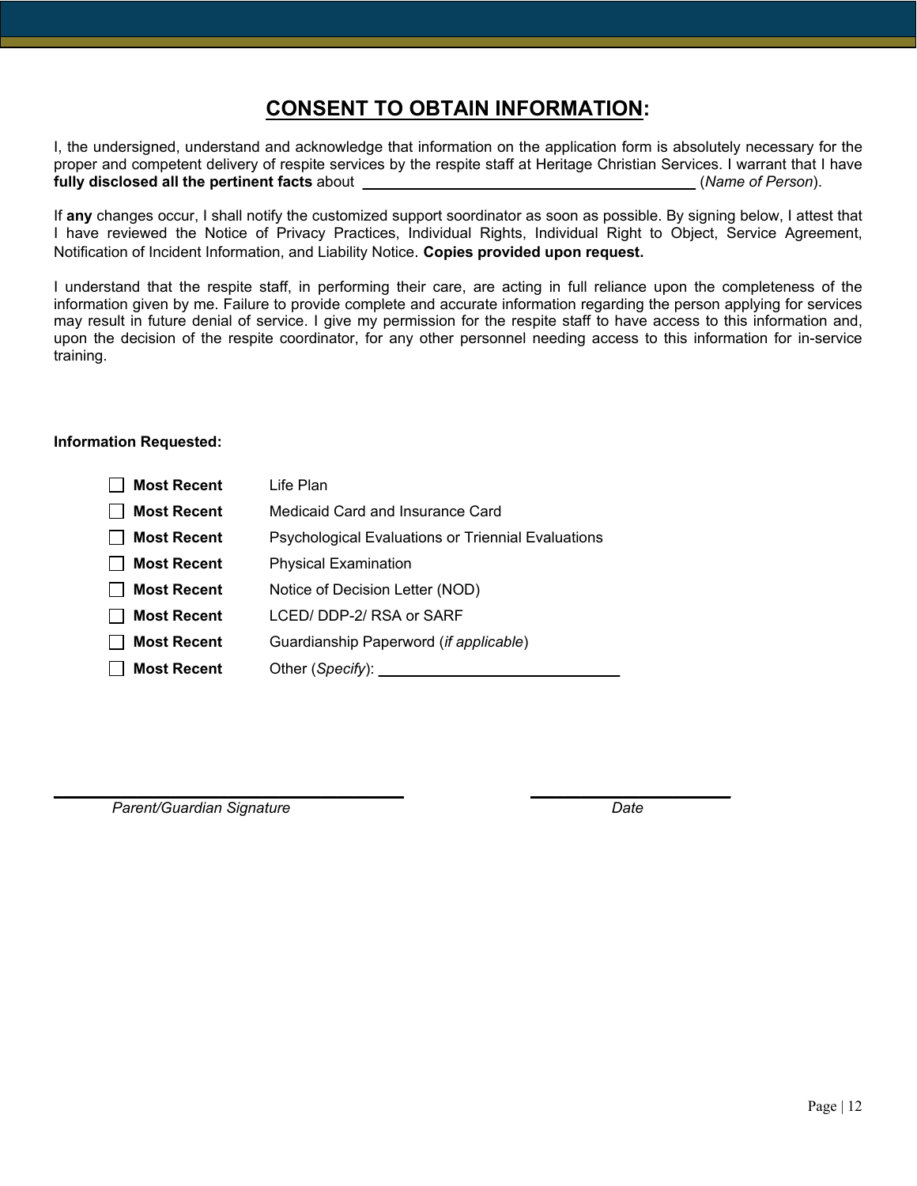# **CONSENT TO OBTAIN INFORMATION:**

I, the undersigned, understand and acknowledge that information on the application form is absolutely necessary for the proper and competent delivery of respite services by the respite staff at Heritage Christian Services. I warrant that I have<br>
fully disclosed all the pertinent facts about **fully disclosed all the pertinent facts** about **\_\_\_\_\_\_\_\_\_\_\_\_\_\_\_\_\_\_\_\_\_\_\_\_\_\_\_\_\_\_\_\_\_\_\_\_\_\_\_\_** (*Name of Person*).

If **any** changes occur, I shall notify the customized support soordinator as soon as possible. By signing below, I attest that I have reviewed the Notice of Privacy Practices, Individual Rights, Individual Right to Object, Service Agreement, Notification of Incident Information, and Liability Notice. **Copies provided upon request.**

I understand that the respite staff, in performing their care, are acting in full reliance upon the completeness of the information given by me. Failure to provide complete and accurate information regarding the person applying for services may result in future denial of service. I give my permission for the respite staff to have access to this information and, upon the decision of the respite coordinator, for any other personnel needing access to this information for in-service training.

### **Information Requested:**

| <b>Most Recent</b> | Life Plan                                                 |
|--------------------|-----------------------------------------------------------|
| <b>Most Recent</b> | Medicaid Card and Insurance Card                          |
| <b>Most Recent</b> | <b>Psychological Evaluations or Triennial Evaluations</b> |
| <b>Most Recent</b> | <b>Physical Examination</b>                               |
| <b>Most Recent</b> | Notice of Decision Letter (NOD)                           |
| <b>Most Recent</b> | LCED/DDP-2/RSA or SARF                                    |
| <b>Most Recent</b> | Guardianship Paperword (if applicable)                    |
| <b>Most Recent</b> | Other (Specify):                                          |
|                    |                                                           |

**\_\_\_\_\_\_\_\_\_\_\_\_\_\_\_\_\_\_\_\_\_\_\_\_\_\_\_\_\_\_\_\_\_\_\_\_\_\_\_\_\_\_ \_\_\_\_\_\_\_\_\_\_\_\_\_\_\_\_\_\_\_\_\_\_\_\_**

Parent/Guardian Signature **Date** Date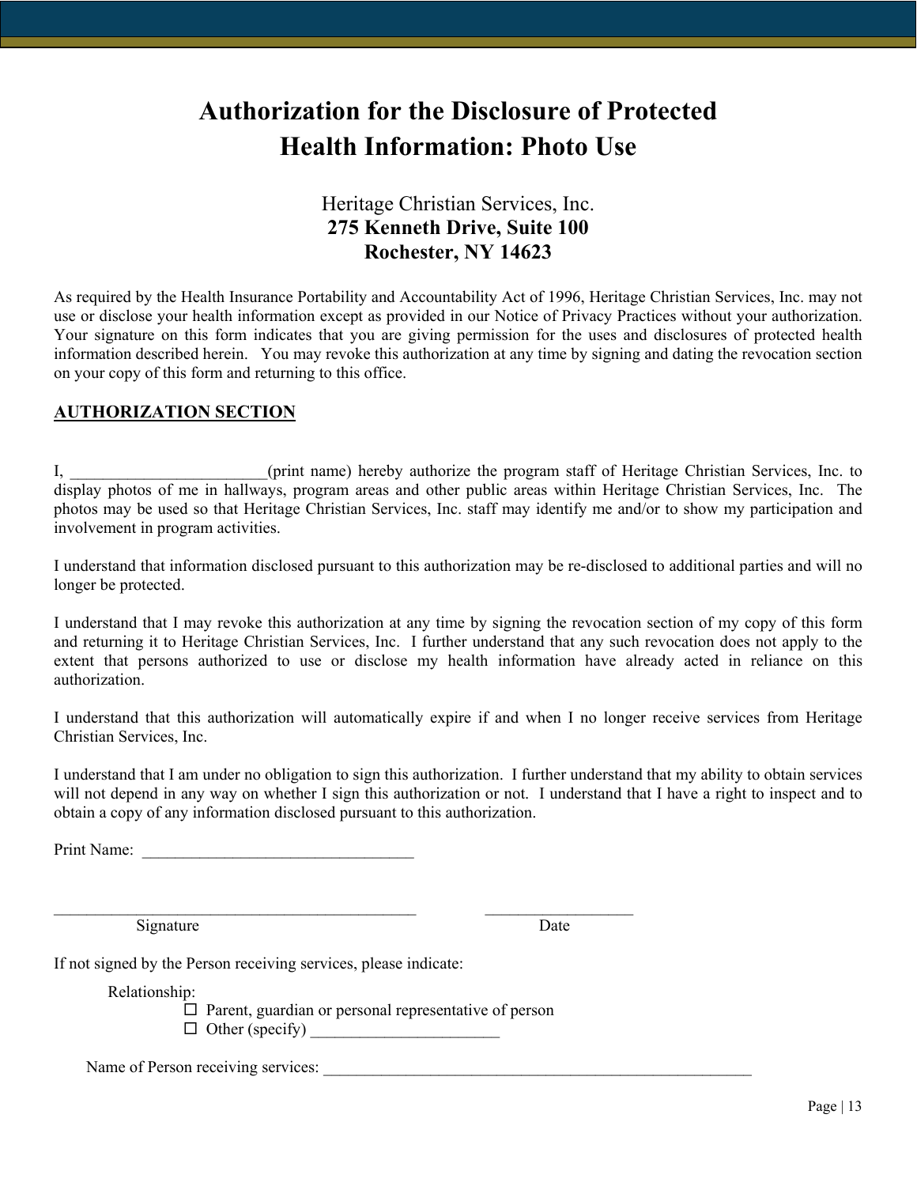# **Authorization for the Disclosure of Protected Health Information: Photo Use**

## Heritage Christian Services, Inc. **275 Kenneth Drive, Suite 100 Rochester, NY 14623**

As required by the Health Insurance Portability and Accountability Act of 1996, Heritage Christian Services, Inc. may not use or disclose your health information except as provided in our Notice of Privacy Practices without your authorization. Your signature on this form indicates that you are giving permission for the uses and disclosures of protected health information described herein. You may revoke this authorization at any time by signing and dating the revocation section on your copy of this form and returning to this office.

## **AUTHORIZATION SECTION**

I, \_\_\_\_\_\_\_\_\_\_\_\_\_\_\_\_\_\_\_\_\_\_\_\_(print name) hereby authorize the program staff of Heritage Christian Services, Inc. to display photos of me in hallways, program areas and other public areas within Heritage Christian Services, Inc. The photos may be used so that Heritage Christian Services, Inc. staff may identify me and/or to show my participation and involvement in program activities.

I understand that information disclosed pursuant to this authorization may be re-disclosed to additional parties and will no longer be protected.

I understand that I may revoke this authorization at any time by signing the revocation section of my copy of this form and returning it to Heritage Christian Services, Inc. I further understand that any such revocation does not apply to the extent that persons authorized to use or disclose my health information have already acted in reliance on this authorization.

I understand that this authorization will automatically expire if and when I no longer receive services from Heritage Christian Services, Inc.

I understand that I am under no obligation to sign this authorization. I further understand that my ability to obtain services will not depend in any way on whether I sign this authorization or not. I understand that I have a right to inspect and to obtain a copy of any information disclosed pursuant to this authorization.

Print Name:

Signature Date

If not signed by the Person receiving services, please indicate:

Relationship:

 $\square$  Parent, guardian or personal representative of person  $\Box$  Other (specify)

 $\mathcal{L}_\text{max} = \mathcal{L}_\text{max} = \mathcal{L}_\text{max} = \mathcal{L}_\text{max} = \mathcal{L}_\text{max} = \mathcal{L}_\text{max} = \mathcal{L}_\text{max} = \mathcal{L}_\text{max} = \mathcal{L}_\text{max} = \mathcal{L}_\text{max} = \mathcal{L}_\text{max} = \mathcal{L}_\text{max} = \mathcal{L}_\text{max} = \mathcal{L}_\text{max} = \mathcal{L}_\text{max} = \mathcal{L}_\text{max} = \mathcal{L}_\text{max} = \mathcal{L}_\text{max} = \mathcal{$ 

Name of Person receiving services: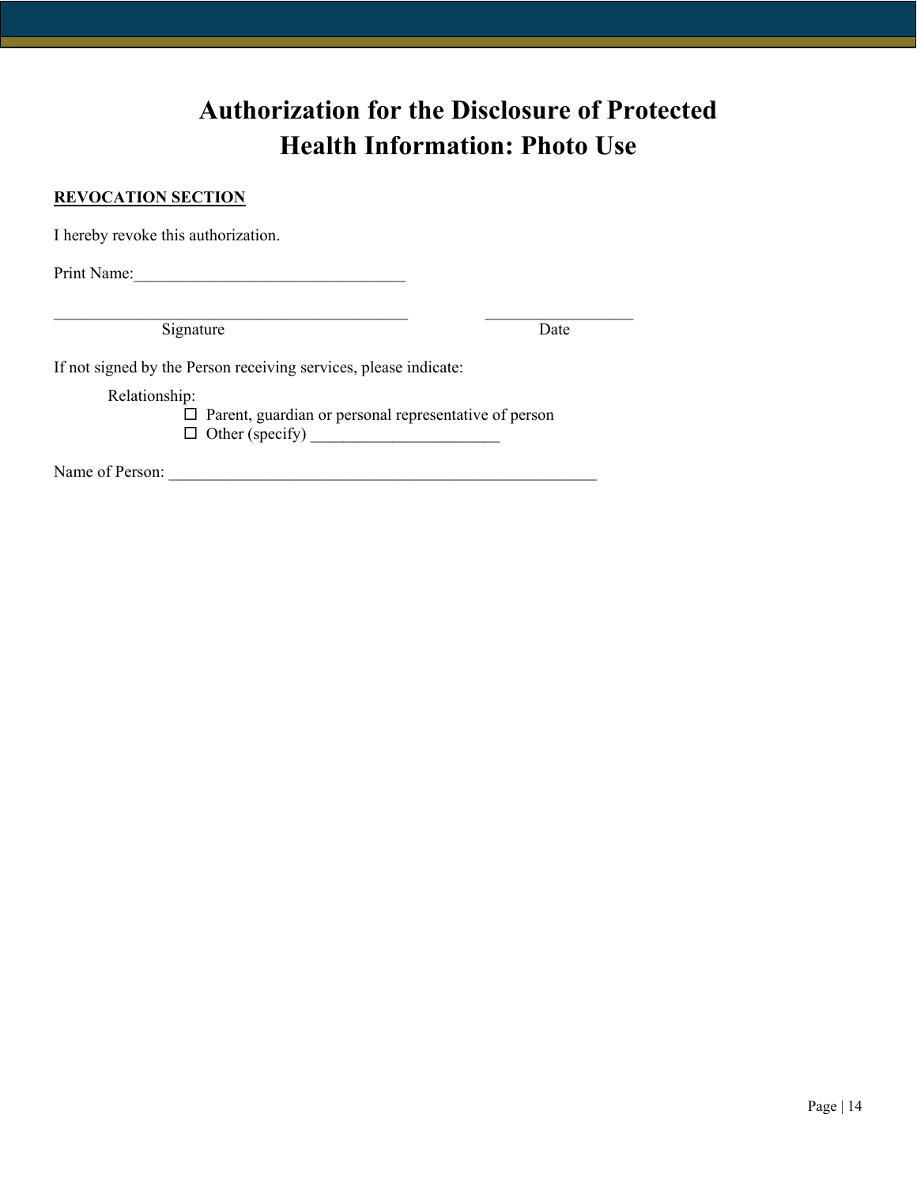# **Authorization for the Disclosure of Protected Health Information: Photo Use**

## **REVOCATION SECTION**

I hereby revoke this authorization.

Print Name:

\_\_\_\_\_\_\_\_\_\_\_\_\_\_\_\_\_\_\_\_\_\_\_\_\_\_\_\_\_\_\_\_\_\_\_\_\_\_\_\_\_\_\_ \_\_\_\_\_\_\_\_\_\_\_\_\_\_\_\_\_\_ Signature Date

If not signed by the Person receiving services, please indicate:

Relationship:

 $\square$  Parent, guardian or personal representative of person Other (specify) \_\_\_\_\_\_\_\_\_\_\_\_\_\_\_\_\_\_\_\_\_\_\_

Name of Person: \_\_\_\_\_\_\_\_\_\_\_\_\_\_\_\_\_\_\_\_\_\_\_\_\_\_\_\_\_\_\_\_\_\_\_\_\_\_\_\_\_\_\_\_\_\_\_\_\_\_\_\_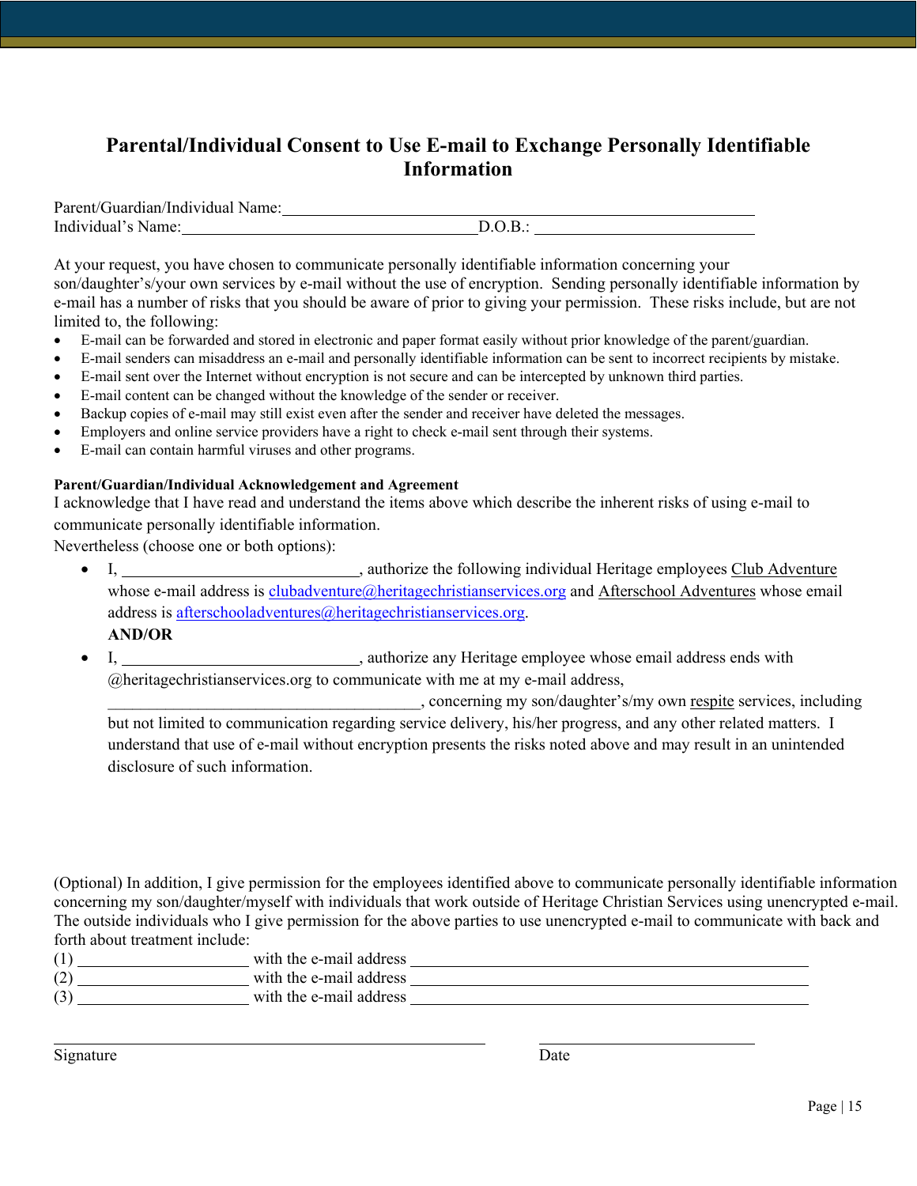## **Parental/Individual Consent to Use E-mail to Exchange Personally Identifiable Information**

| Parent/Guardian/Individual Name: |  |
|----------------------------------|--|
| Individual's Name:               |  |

At your request, you have chosen to communicate personally identifiable information concerning your son/daughter's/your own services by e-mail without the use of encryption. Sending personally identifiable information by e-mail has a number of risks that you should be aware of prior to giving your permission. These risks include, but are not limited to, the following:

- E-mail can be forwarded and stored in electronic and paper format easily without prior knowledge of the parent/guardian.
- E-mail senders can misaddress an e-mail and personally identifiable information can be sent to incorrect recipients by mistake.
- E-mail sent over the Internet without encryption is not secure and can be intercepted by unknown third parties.
- E-mail content can be changed without the knowledge of the sender or receiver.
- Backup copies of e-mail may still exist even after the sender and receiver have deleted the messages.
- Employers and online service providers have a right to check e-mail sent through their systems.
- E-mail can contain harmful viruses and other programs.

### **Parent/Guardian/Individual Acknowledgement and Agreement**

I acknowledge that I have read and understand the items above which describe the inherent risks of using e-mail to communicate personally identifiable information.

Nevertheless (choose one or both options):

• I,  $\frac{1}{2}$  , authorize the following individual Heritage employees Club Adventure whose e-mail address is [clubadventure@heritagechristianservices.org](mailto:clubadventure@heritagechristianservices.org) and Afterschool Adventures whose email address is [afterschooladventures@heritagechristianservices.org.](mailto:afterschooladventures@heritagechristianservices.org)

## **AND/OR**

I,  $\frac{1}{2}$  authorize any Heritage employee whose email address ends with @heritagechristianservices.org to communicate with me at my e-mail address,

\_\_\_\_\_\_\_\_\_\_\_\_\_\_\_\_\_\_\_\_\_\_\_\_\_\_\_\_\_\_\_\_\_\_\_\_\_\_, concerning my son/daughter's/my own respite services, including but not limited to communication regarding service delivery, his/her progress, and any other related matters. I understand that use of e-mail without encryption presents the risks noted above and may result in an unintended disclosure of such information.

(Optional) In addition, I give permission for the employees identified above to communicate personally identifiable information concerning my son/daughter/myself with individuals that work outside of Heritage Christian Services using unencrypted e-mail. The outside individuals who I give permission for the above parties to use unencrypted e-mail to communicate with back and forth about treatment include:

- (1) with the e-mail address
- (2) with the e-mail address (3) with the e-mail address

Signature Date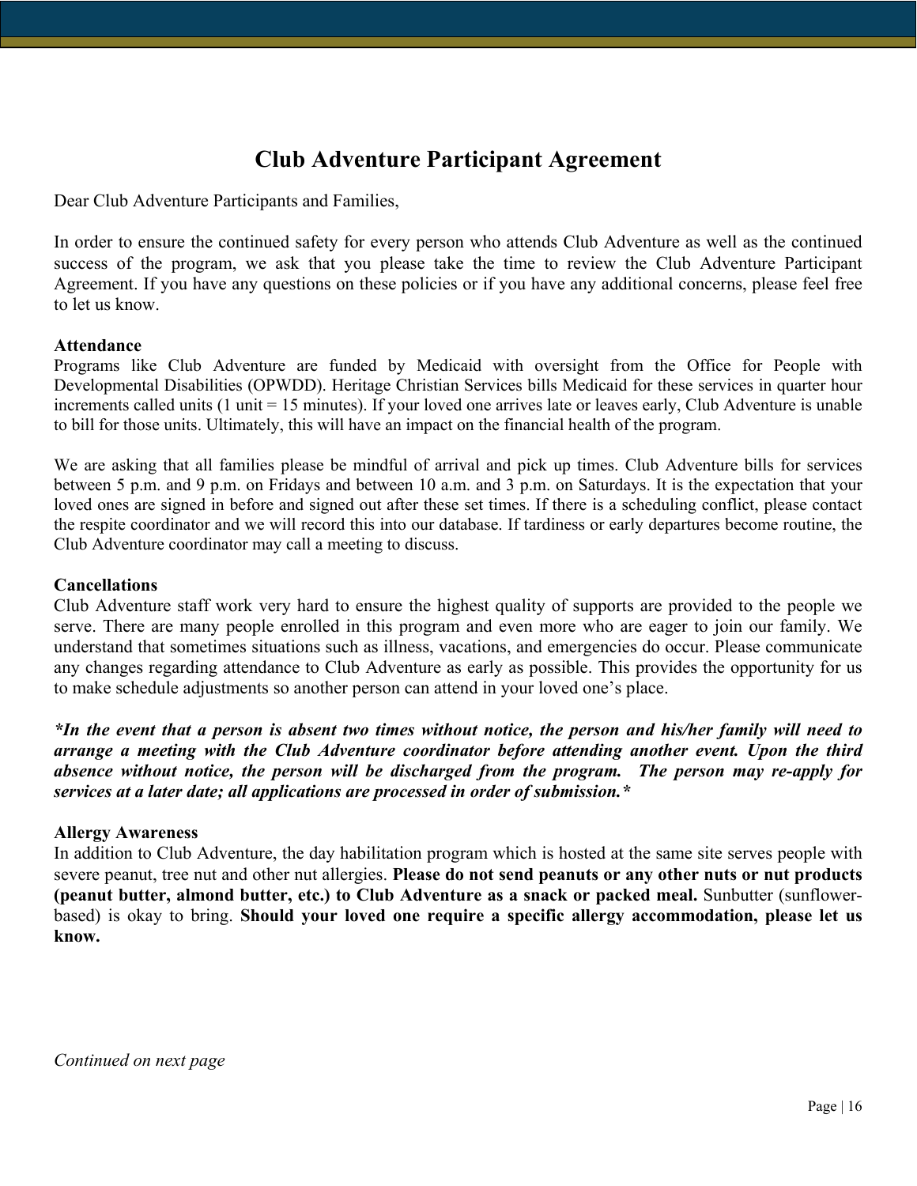# **Club Adventure Participant Agreement**

Dear Club Adventure Participants and Families,

In order to ensure the continued safety for every person who attends Club Adventure as well as the continued success of the program, we ask that you please take the time to review the Club Adventure Participant Agreement. If you have any questions on these policies or if you have any additional concerns, please feel free to let us know.

## **Attendance**

Programs like Club Adventure are funded by Medicaid with oversight from the Office for People with Developmental Disabilities (OPWDD). Heritage Christian Services bills Medicaid for these services in quarter hour increments called units (1 unit = 15 minutes). If your loved one arrives late or leaves early, Club Adventure is unable to bill for those units. Ultimately, this will have an impact on the financial health of the program.

We are asking that all families please be mindful of arrival and pick up times. Club Adventure bills for services between 5 p.m. and 9 p.m. on Fridays and between 10 a.m. and 3 p.m. on Saturdays. It is the expectation that your loved ones are signed in before and signed out after these set times. If there is a scheduling conflict, please contact the respite coordinator and we will record this into our database. If tardiness or early departures become routine, the Club Adventure coordinator may call a meeting to discuss.

## **Cancellations**

Club Adventure staff work very hard to ensure the highest quality of supports are provided to the people we serve. There are many people enrolled in this program and even more who are eager to join our family. We understand that sometimes situations such as illness, vacations, and emergencies do occur. Please communicate any changes regarding attendance to Club Adventure as early as possible. This provides the opportunity for us to make schedule adjustments so another person can attend in your loved one's place.

*\*In the event that a person is absent two times without notice, the person and his/her family will need to arrange a meeting with the Club Adventure coordinator before attending another event. Upon the third absence without notice, the person will be discharged from the program. The person may re-apply for services at a later date; all applications are processed in order of submission.\** 

## **Allergy Awareness**

In addition to Club Adventure, the day habilitation program which is hosted at the same site serves people with severe peanut, tree nut and other nut allergies. **Please do not send peanuts or any other nuts or nut products (peanut butter, almond butter, etc.) to Club Adventure as a snack or packed meal.** Sunbutter (sunflowerbased) is okay to bring. **Should your loved one require a specific allergy accommodation, please let us know.** 

*Continued on next page*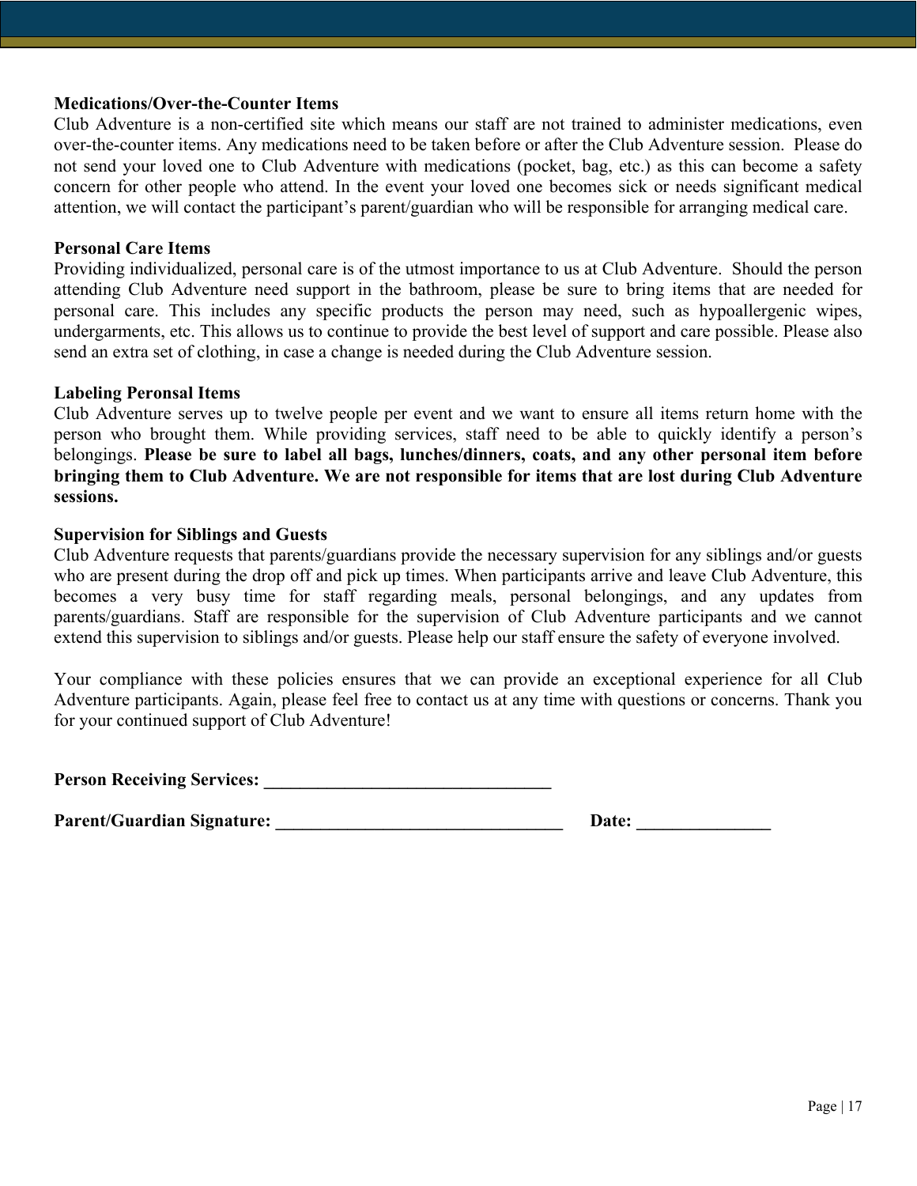### **Medications/Over-the-Counter Items**

Club Adventure is a non-certified site which means our staff are not trained to administer medications, even over-the-counter items. Any medications need to be taken before or after the Club Adventure session. Please do not send your loved one to Club Adventure with medications (pocket, bag, etc.) as this can become a safety concern for other people who attend. In the event your loved one becomes sick or needs significant medical attention, we will contact the participant's parent/guardian who will be responsible for arranging medical care.

## **Personal Care Items**

Providing individualized, personal care is of the utmost importance to us at Club Adventure. Should the person attending Club Adventure need support in the bathroom, please be sure to bring items that are needed for personal care. This includes any specific products the person may need, such as hypoallergenic wipes, undergarments, etc. This allows us to continue to provide the best level of support and care possible. Please also send an extra set of clothing, in case a change is needed during the Club Adventure session.

### **Labeling Peronsal Items**

Club Adventure serves up to twelve people per event and we want to ensure all items return home with the person who brought them. While providing services, staff need to be able to quickly identify a person's belongings. **Please be sure to label all bags, lunches/dinners, coats, and any other personal item before bringing them to Club Adventure. We are not responsible for items that are lost during Club Adventure sessions.** 

### **Supervision for Siblings and Guests**

Club Adventure requests that parents/guardians provide the necessary supervision for any siblings and/or guests who are present during the drop off and pick up times. When participants arrive and leave Club Adventure, this becomes a very busy time for staff regarding meals, personal belongings, and any updates from parents/guardians. Staff are responsible for the supervision of Club Adventure participants and we cannot extend this supervision to siblings and/or guests. Please help our staff ensure the safety of everyone involved.

Your compliance with these policies ensures that we can provide an exceptional experience for all Club Adventure participants. Again, please feel free to contact us at any time with questions or concerns. Thank you for your continued support of Club Adventure!

**Person Receiving Services:** 

**Parent/Guardian Signature: \_\_\_\_\_\_\_\_\_\_\_\_\_\_\_\_\_\_\_\_\_\_\_\_\_\_\_\_\_\_\_\_ Date: \_\_\_\_\_\_\_\_\_\_\_\_\_\_\_**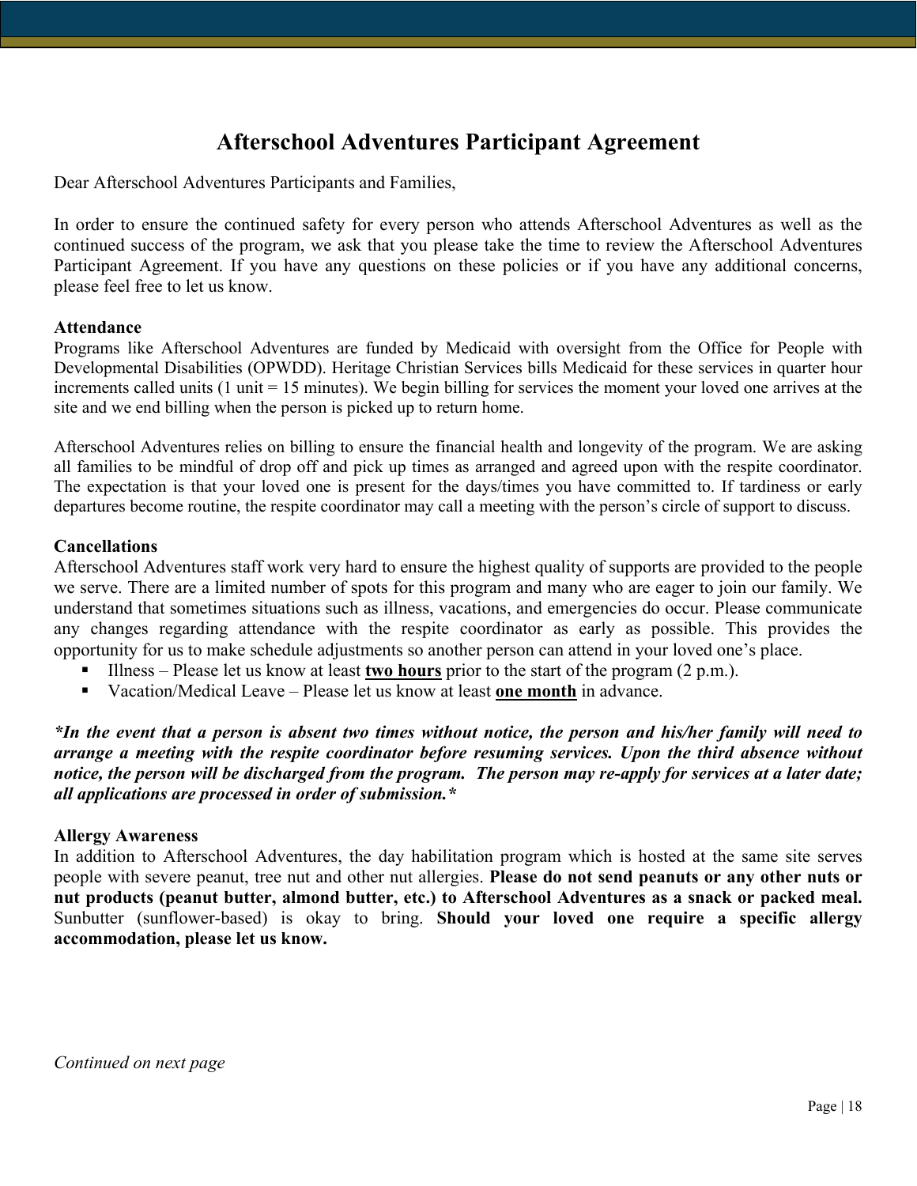# **Afterschool Adventures Participant Agreement**

Dear Afterschool Adventures Participants and Families,

In order to ensure the continued safety for every person who attends Afterschool Adventures as well as the continued success of the program, we ask that you please take the time to review the Afterschool Adventures Participant Agreement. If you have any questions on these policies or if you have any additional concerns, please feel free to let us know.

### **Attendance**

Programs like Afterschool Adventures are funded by Medicaid with oversight from the Office for People with Developmental Disabilities (OPWDD). Heritage Christian Services bills Medicaid for these services in quarter hour increments called units (1 unit = 15 minutes). We begin billing for services the moment your loved one arrives at the site and we end billing when the person is picked up to return home.

Afterschool Adventures relies on billing to ensure the financial health and longevity of the program. We are asking all families to be mindful of drop off and pick up times as arranged and agreed upon with the respite coordinator. The expectation is that your loved one is present for the days/times you have committed to. If tardiness or early departures become routine, the respite coordinator may call a meeting with the person's circle of support to discuss.

## **Cancellations**

Afterschool Adventures staff work very hard to ensure the highest quality of supports are provided to the people we serve. There are a limited number of spots for this program and many who are eager to join our family. We understand that sometimes situations such as illness, vacations, and emergencies do occur. Please communicate any changes regarding attendance with the respite coordinator as early as possible. This provides the opportunity for us to make schedule adjustments so another person can attend in your loved one's place.

- Illness Please let us know at least **two hours** prior to the start of the program (2 p.m.).
- Vacation/Medical Leave Please let us know at least **one month** in advance.

*\*In the event that a person is absent two times without notice, the person and his/her family will need to arrange a meeting with the respite coordinator before resuming services. Upon the third absence without notice, the person will be discharged from the program. The person may re-apply for services at a later date; all applications are processed in order of submission.\** 

### **Allergy Awareness**

In addition to Afterschool Adventures, the day habilitation program which is hosted at the same site serves people with severe peanut, tree nut and other nut allergies. **Please do not send peanuts or any other nuts or nut products (peanut butter, almond butter, etc.) to Afterschool Adventures as a snack or packed meal.**  Sunbutter (sunflower-based) is okay to bring. **Should your loved one require a specific allergy accommodation, please let us know.**